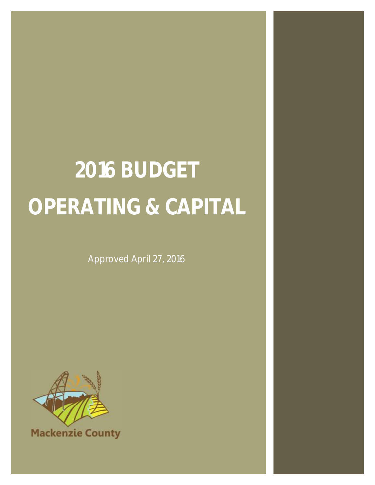### **2016 BUDGET OPERATING & CAPITAL**

Approved April 27, 2016



**Mackenzie County**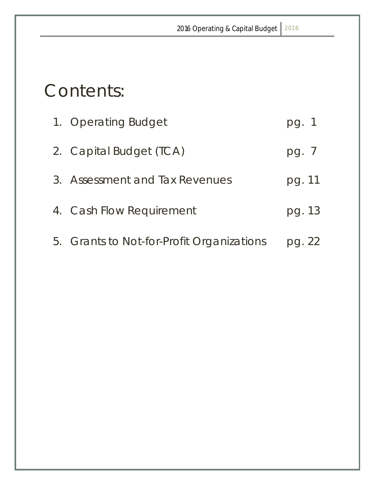### Contents:

| 1. Operating Budget                       | pg. 1          |
|-------------------------------------------|----------------|
| 2. Capital Budget (TCA)                   | pg. $\sqrt{ }$ |
| 3. Assessment and Tax Revenues            | pg. 11         |
| 4. Cash Flow Requirement                  | pg. 13         |
| 5. Grants to Not-for-Profit Organizations | pg. 22         |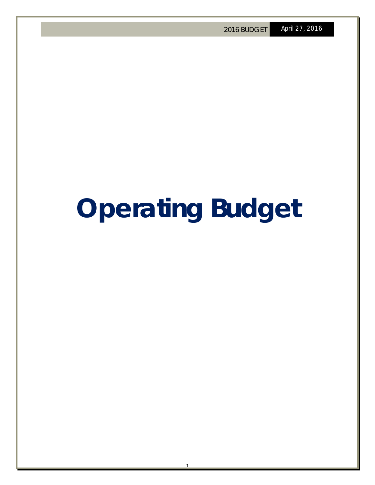### **Operating Budget**

1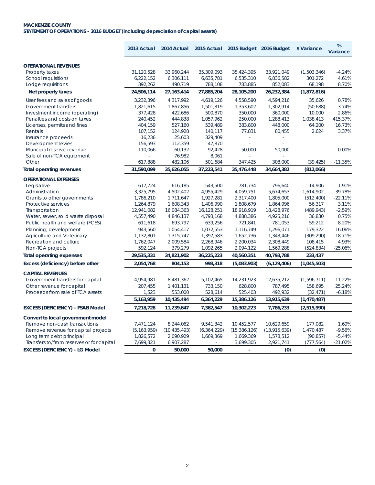### **MACKENZIE COUNTY STATEMENT OF OPERATIONS - 2016 BUDGET (including depreciation of capital assets)**

|                                           | 2013 Actual   | 2014 Actual    | 2015 Actual   | 2015 Budget 2016 Budget  |                | \$ Variance | %<br>Variance |
|-------------------------------------------|---------------|----------------|---------------|--------------------------|----------------|-------------|---------------|
| <b>OPERATIONAL REVENUES</b>               |               |                |               |                          |                |             |               |
| Property taxes                            | 31,120,528    | 33,960,244     | 35,309,093    | 35,424,395               | 33,921,049     | (1,503,346) | $-4.24%$      |
| <b>School requisitions</b>                | 6,222,152     | 6,306,111      | 6,635,781     | 6,535,310                | 6,836,582      | 301,272     | 4.61%         |
| Lodge requisitions                        | 392,262       | 490,719        | 788,108       | 783,885                  | 852,083        | 68,198      | 8.70%         |
| Net property taxes                        | 24,506,114    | 27, 163, 414   | 27,885,204    | 28,105,200               | 26,232,384     | (1,872,816) |               |
| User fees and sales of goods              | 3,232,396     | 4,317,992      | 4,619,126     | 4,558,590                | 4,594,216      | 35,626      | 0.78%         |
| <b>Government transfers</b>               | 1,821,615     | 1,867,856      | 1,501,319     | 1,353,602                | 1,302,914      | (50,688)    | $-3.74%$      |
| Investment income (operating)             | 377,428       | 422,686        | 500,870       | 350,000                  | 360,000        | 10,000      | 2.86%         |
| Penalties and costs on taxes              | 240,452       | 444,838        | 1,057,962     | 250,000                  | 1,288,413      | 1,038,413   | 415.37%       |
| Licenses, permits and fines               | 404,159       | 527,160        | 539,489       | 383,800                  | 448,000        | 64,200      | 16.73%        |
| Rentals                                   | 107,152       | 124,928        | 140,117       | 77,831                   | 80,455         | 2,624       | 3.37%         |
| Insurance proceeds                        | 16,236        | 25,603         | 329,409       |                          |                |             |               |
| Development levies                        | 156,593       | 112,359        | 47,870        |                          |                |             |               |
| Muncipal reserve revenue                  | 110,066       | 60,132         | 92,428        | 50,000                   | 50,000         |             | 0.00%         |
| Sale of non-TCA equipment                 |               | 76,982         | 8,061         |                          |                |             |               |
| Other                                     | 617,888       | 482,106        | 501,684       | 347,425                  | 308,000        | (39, 425)   | $-11.35%$     |
| Total operating revenues                  | 31,590,099    | 35,626,055     | 37,223,541    | 35,476,448               | 34,664,382     | (812,066)   |               |
| <b>OPERATIONAL EXPENSES</b>               |               |                |               |                          |                |             |               |
| Legislative                               | 617,724       | 616,185        | 543,500       | 781,734                  | 796,640        | 14,906      | 1.91%         |
| Administration                            | 3,325,795     | 4,502,402      | 4,955,429     | 4,059,751                | 5,674,653      | 1,614,902   | 39.78%        |
| Grants to other governments               | 1,786,210     | 1,711,647      | 1,927,281     | 2,317,400                | 1,805,000      | (512, 400)  | $-22.11%$     |
| Protective services                       | 1,264,879     | 1,608,343      | 1,406,990     | 1,808,679                | 1,864,996      | 56,317      | 3.11%         |
| Transportation                            | 12,941,082    | 16,084,363     | 16,128,251    | 18,918,919               | 18,428,976     | (489, 943)  | $-2.59%$      |
| Water, sewer, solid waste disposal        | 4,557,490     | 4,846,137      | 4,793,168     | 4,888,386                | 4,925,216      | 36,830      | 0.75%         |
| Public health and welfare (FCSS)          | 611,618       | 693,797        | 639,256       | 721,841                  | 781,053        | 59,212      | 8.20%         |
| Planning, development                     | 943,560       | 1,054,417      | 1,072,553     | 1,116,749                | 1,296,071      | 179,322     | 16.06%        |
| <b>Agriculture and Veterinary</b>         | 1,132,801     | 1,315,747      | 1,397,583     | 1,652,736                | 1,343,446      | (309, 290)  | $-18.71%$     |
| Recreation and culture                    | 1,762,047     | 2,009,584      | 2,268,946     | 2,200,034                | 2,308,449      | 108,415     | 4.93%         |
| Non-TCA projects                          | 592,124       | 379,279        | 1,092,265     | 2,094,122                | 1,569,288      | (524, 834)  | $-25.06%$     |
| <b>Total operating expenses</b>           | 29,535,331    | 34,821,902     | 36,225,223    | 40,560,351               | 40,793,788     | 233,437     |               |
| Excess (deficiency) before other          | 2,054,768     | 804,153        | 998,318       | (5,083,903)              | (6, 129, 406)  | (1,045,503) |               |
| <b>CAPITAL REVENUES</b>                   |               |                |               |                          |                |             |               |
| Government transfers for capital          | 4,954,981     | 8,481,362      | 5,102,465     | 14,231,923               | 12,635,212     | (1,596,711) | $-11.22%$     |
| Other revenue for capital                 | 207,455       | 1,401,131      | 733,150       | 628,800                  | 787,495        | 158,695     | 25.24%        |
| Proceeds from sale of TCA assets          | 1,523         | 553,000        | 528,614       | 525,403                  | 492,932        | (32, 471)   | $-6.18%$      |
|                                           | 5,163,959     | 10,435,494     | 6,364,229     | 15,386,126               | 13,915,639     | (1,470,487) |               |
| <b>EXCESS (DEFICIENCY) - PSAB Model</b>   | 7,218,728     | 11,239,647     | 7,362,547     | 10,302,223               | 7,786,233      | (2,515,990) |               |
| Convert to local government model         |               |                |               |                          |                |             |               |
| Remove non-cash transactions              | 7,471,124     | 8,244,062      | 9,541,342     | 10,452,577               | 10,629,659     | 177,082     | 1.69%         |
| Remove revenue for capital projects       | (5, 163, 959) | (10, 435, 493) | (6, 364, 229) | (15, 386, 126)           | (13, 915, 639) | 1,470,487   | $-9.56%$      |
| Long term debt principal                  | 1,826,572     | 2,090,929      | 1,669,369     | 1,669,369                | 1,578,512      | (90, 857)   | $-5.44%$      |
| Transfers to/from reserves or for capital | 7,699,321     | 6,907,287      |               | 3,699,305                | 2,921,741      | (777, 564)  | $-21.02%$     |
| <b>EXCESS (DEFICIENCY) - LG Model</b>     | $\mathbf 0$   | 50,000         | 50,000        | $\overline{\phantom{a}}$ | (0)            | (0)         |               |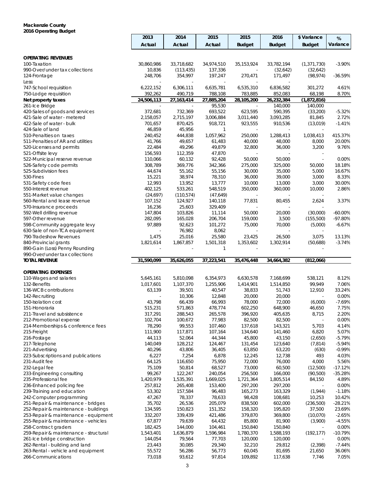### **Mackenzie County 2016 Operating Budget**

|                                                          | 2013              | 2014              | 2015              | 2015              | 2016              | \$ Variance              | %                    |
|----------------------------------------------------------|-------------------|-------------------|-------------------|-------------------|-------------------|--------------------------|----------------------|
|                                                          | Actual            | Actual            | Actual            | <b>Budget</b>     | <b>Budget</b>     | <b>Budget</b>            | Variance             |
|                                                          |                   |                   |                   |                   |                   |                          |                      |
| <b>OPERATING REVENUES</b>                                |                   |                   |                   |                   |                   |                          |                      |
| 100-Taxation                                             | 30,860,986        | 33,718,682        | 34,974,510        | 35, 153, 924      | 33,782,194        | (1, 371, 730)            | $-3.90%$             |
| 990-Over/under tax collections                           | 10,836            | (113, 435)        | 137,336           |                   | (32,642)          | (32, 642)                |                      |
| 124-Frontage                                             | 248,706           | 354,997           | 197,247           | 270,471           | 171,497           | (98, 974)                | -36.59%              |
| Less:                                                    |                   |                   |                   |                   |                   |                          |                      |
| 747-School requisition                                   | 6,222,152         | 6,306,111         | 6,635,781         | 6,535,310         | 6,836,582         | 301,272                  | 4.61%                |
| 750-Lodge requisition                                    | 392,262           | 490,719           | 788,108           | 783,885           | 852,083           | 68,198                   | 8.70%                |
| Net property taxes                                       | 24,506,113        | 27, 163, 414      | 27,885,204        | 28,105,200        | 26,232,384        | (1,872,816)              |                      |
| 261-Ice Bridge                                           |                   |                   | 95,530            |                   | 140,000           | 140,000                  |                      |
| 420-Sales of goods and services                          | 372,681           | 732,369           | 693,522           | 623,595           | 590,395           | (33,200)                 | $-5.32%$             |
| 421-Sale of water - metered                              | 2,158,057         | 2,715,197         | 3,006,884         | 3,011,440         | 3,093,285         | 81,845                   | 2.72%                |
| 422-Sale of water - bulk                                 | 701,657           | 870,425           | 918,721           | 923,555           | 910,536           | (13,019)                 | $-1.41%$             |
| 424-Sale of land                                         | 46,859            | 45,956            | 1                 |                   |                   |                          |                      |
| 510-Penalties on taxes                                   | 240,452           | 444,838           | 1,057,962         | 250,000           | 1,288,413         | 1,038,413                | 415.37%              |
| 511-Penalties of AR and utilities                        | 41,766            | 49,657            | 61,483            | 40,000            | 48,000            | 8,000                    | 20.00%               |
| 520-Licenses and permits                                 | 22,484            | 49,296            | 49,879            | 32,800            | 36,000            | 3,200                    | 9.76%                |
| 521-Offsite levy                                         | 156,593           | 112,359           | 47,870            |                   |                   |                          |                      |
| 522-Municipal reserve revenue                            | 110,066           | 60,132            | 92,428            | 50,000            | 50,000            | $\mathbf{r}$             | 0.00%                |
| 526-Safety code permits                                  | 308,789           | 369,776           | 342,366           | 275,000           | 325,000           | 50,000                   | 18.18%               |
| 525-Subdivision fees                                     | 44,674            | 55,162            | 55,156            | 30,000            | 35,000            | 5,000                    | 16.67%               |
| 530-Fines                                                | 15,221            | 38,974            | 78,310            | 36,000            | 39,000            | 3,000                    | 8.33%                |
| 531-Safety code fees                                     | 12,993            | 13,952            | 13,777            | 10,000            | 13,000            | 3,000                    | 30.00%               |
| 550-Interest revenue                                     | 402,125           | 533,261           | 548,519           | 350,000           | 360,000           | 10,000                   | 2.86%                |
| 551-Market value changes                                 | (24, 697)         | (110, 574)        | (47, 649)         |                   |                   |                          |                      |
| 560-Rental and lease revenue                             | 107,152           | 124,927           | 140,118           | 77,831            | 80,455            | 2,624                    | 3.37%                |
| 570-Insurance proceeds                                   | 16,236<br>147,804 | 25,603            | 329,409           |                   |                   |                          |                      |
| 592-Well drilling revenue                                |                   | 103,826           | 11,114<br>206,704 | 50,000<br>159,000 | 20,000<br>3,500   | (30,000)                 | $-60.00%$<br>-97.80% |
| 597-Other revenue<br>598-Community aggregate levy        | 282,095<br>97,889 | 165,028<br>92,623 | 101,272           | 75,000            | 70,000            | (155,500)<br>(5,000)     |                      |
| 630-Sale of non-TCA equipment                            |                   | 76,982            | 8,062             |                   |                   |                          | $-6.67%$             |
| 790-Tradeshow Revenues                                   | 1,475             | 25,016            | 25,580            | 23,425            | 26,500            | 3,075                    | 13.13%               |
| 840-Provincial grants                                    | 1,821,614         | 1,867,857         | 1,501,318         | 1,353,602         | 1,302,914         | (50,688)                 | $-3.74%$             |
| 890-Gain (Loss) Penny Rounding                           |                   |                   | 1                 |                   |                   |                          |                      |
| 990-Over/under tax collections                           |                   |                   |                   |                   |                   |                          |                      |
| <b>TOTAL REVENUE</b>                                     | 31,590,099        | 35,626,055        | 37,223,541        | 35,476,448        | 34,664,382        | (812,066)                |                      |
|                                                          |                   |                   |                   |                   |                   |                          |                      |
| <b>OPERATING EXPENSES</b>                                |                   |                   |                   |                   |                   |                          |                      |
| 110-Wages and salaries                                   | 5,645,161         | 5,810,098         | 6,354,973         | 6,630,578         | 7,168,699         | 538,121                  | 8.12%                |
| 132-Benefits                                             | 1,017,601         | 1,107,370         | 1,255,906         | 1,414,901         | 1,514,850         | 99,949                   | 7.06%                |
| 136-WCB contributions                                    | 63,139            | 39,501            | 40,547            | 38,833            | 51,743            | 12,910                   | 33.24%               |
| 142-Recruiting                                           |                   | 10,306            | 12,848            | 20,000            | 20,000            |                          | 0.00%                |
| 150-Isolation cost                                       | 43,798            | 66,439            | 66,993            | 78,000            | 72,000            | (6,000)                  | $-7.69%$             |
| 151-Honoraria                                            | 515,231           | 571,863           | 478,774           | 602,250           | 648,900           | 46,650                   | 7.75%                |
| 211-Travel and subsistence                               | 317,291           | 288,543           | 265,578           | 396,920           | 405,635           | 8,715                    | 2.20%                |
| 212-Promotional expense                                  | 102,704           | 100,672           | 77,983            | 82,500            | 82,500            |                          | 0.00%                |
| 214-Memberships & conference fees                        | 78,290            | 99,553            | 107,460           | 137,618           | 143,321           | 5,703                    | 4.14%                |
| 215-Freight                                              | 111,900           | 117,871           | 107,164           | 134,640           | 141,460           | 6,820                    | 5.07%                |
| 216-Postage                                              | 44,113            | 52,064            | 44,344            | 45,800            | 43,150            | (2,650)                  | $-5.79%$             |
| 217-Telephone                                            | 140,049           | 128,212           | 124,467           | 131,454           | 123,640           | (7, 814)                 | $-5.94%$             |
| 221-Advertising                                          | 40,296            | 43,806            | 36,405            | 63,850            | 63,220            | (630)                    | $-0.99%$             |
| 223-Subscriptions and publications                       | 6,227             | 7,254             | 6,878             | 12,245            | 12,738            | 493                      | 4.03%                |
| 231-Audit fee                                            | 64,125            | 116,650           | 75,950            | 72,000            | 76,000            | 4,000                    | 5.56%                |
| 232-Legal fee                                            | 75,109            | 50,814            | 68,527            | 73,000            | 60,500            | (12,500)                 | $-17.12%$            |
| 233-Engineering consulting                               | 99,267            | 122,247           | 240,054           | 256,500           | 166,000           | (90,500)                 | $-35.28%$            |
| 235-Professional fee                                     | 1,420,979         | 1,535,391         | 1,669,025         | 1,721,364         | 1,805,514         | 84,150                   | 4.89%                |
| 236-Enhanced policing fee                                | 257,812           | 265,408           | 153,400           | 297,200           | 297,200           | $\overline{\phantom{a}}$ | 0.00%                |
| 239-Training and education                               | 53,302            | 157,584           | 96,483            | 165,273           | 163,329           | (1,944)                  | $-1.18%$             |
| 242-Computer programming                                 | 47,267            | 78,337            | 78,633            | 98,428            | 108,681           | 10,253                   | 10.42%               |
| 251-Repair & maintenance - bridges                       | 35,702            | 26,536            | 205,079           | 838,500           | 602,000           | (236, 500)               | $-28.21%$            |
| 252-Repair & maintenance - buildings                     | 134,595           | 150,823           | 151,352           | 158,320           | 195,820           | 37,500                   | 23.69%               |
| 253-Repair & maintenance - equipment                     | 332,207           | 339,439           | 421,486           | 379,870           | 369,800           | (10,070)                 | $-2.65%$             |
| 255-Repair & maintenance - vehicles                      | 67,877            | 79,639            | 64,432            | 85,800            | 81,900            | (3,900)                  | $-4.55%$             |
| 258-Contract graders                                     | 182,425           | 144,000           | 104,461           | 150,840           | 150,840           |                          | 0.00%                |
| 259-Repair & maintenance - structural                    | 1,543,401         | 1,636,879         | 1,596,984         | 1,780,370         | 1,588,193         | (192, 177)               | $-10.79%$            |
| 261-Ice bridge construction                              | 144,054           | 79,564            | 77,703            | 120,000           | 120,000           |                          | 0.00%                |
| 262-Rental - building and land                           | 23,443            | 30,085            | 29,340            | 32,210            | 29,812            | (2, 398)                 | $-7.44%$             |
| 263-Rental - vehicle and equipment<br>266-Communications | 55,572<br>73,018  | 56,286<br>93,612  | 56,773<br>97,814  | 60,045<br>109,892 | 81,695<br>117,638 | 21,650<br>7,746          | 36.06%<br>7.05%      |
|                                                          |                   |                   |                   |                   |                   |                          |                      |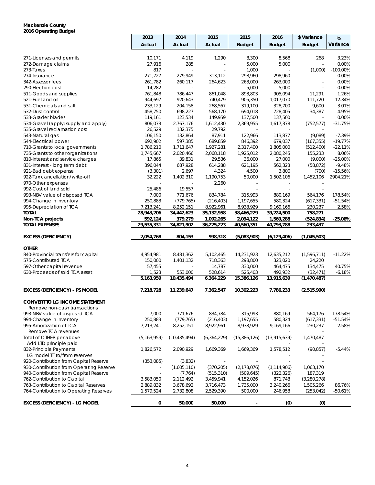### **Mackenzie County 2016 Operating Budget**

|                                                           | 2013               | 2014                 | 2015                | 2015                 | 2016                   | \$ Variance              | %              |
|-----------------------------------------------------------|--------------------|----------------------|---------------------|----------------------|------------------------|--------------------------|----------------|
|                                                           | Actual             | Actual               | Actual              | <b>Budget</b>        | <b>Budget</b>          | <b>Budget</b>            | Variance       |
|                                                           |                    |                      |                     |                      |                        |                          |                |
| 271-Licenses and permits                                  | 10,171             | 4,119                | 1,290               | 8,300                | 8,568                  | 268                      | 3.23%          |
| 272-Damage claims                                         | 27,916             | 285                  |                     | 5,000                | 5,000                  | ÷.                       | 0.00%          |
| 273-Taxes                                                 | 817                |                      |                     | 1,000                |                        | (1,000)                  | $-100.00\%$    |
| 274-Insurance                                             | 271,727            | 279,949              | 313,112             | 298,960              | 298,960                | $\overline{\phantom{a}}$ | 0.00%          |
| 342-Assessor fees                                         | 261,782            | 260,117              | 264,623             | 263,000              | 263,000                |                          | 0.00%          |
| 290-Election cost                                         | 14,282             | $\sim$               | $\blacksquare$      | 5,000                | 5,000                  | ÷.                       | 0.00%          |
| 511-Goods and supplies                                    | 761,848            | 786,447              | 861,048             | 893,803              | 905,094                | 11,291                   | 1.26%          |
| 521-Fuel and oil                                          | 944,697            | 920,643              | 740,479             | 905,350              | 1,017,070              | 111,720                  | 12.34%         |
| 531-Chemicals and salt                                    | 233,129            | 204,158              | 268,567             | 319,100              | 328,700                | 9,600                    | 3.01%          |
| 532-Dust control                                          | 458,750            | 698,227              | 568,170<br>149,959  | 694,018              | 728,405                | 34,387<br>$\sim$         | 4.95%<br>0.00% |
| 533-Grader blades<br>534-Gravel (apply; supply and apply) | 119,161<br>806,073 | 123,534<br>2,767,176 |                     | 137,500<br>2,369,955 | 137,500<br>1,617,378   | (752, 577)               | -31.75%        |
| 535-Gravel reclamation cost                               | 26,529             | 132,375              | 1,612,430<br>29,792 |                      |                        |                          |                |
| 543-Natural gas                                           | 106,150            | 132,864              | 87,911              | 122,966              | 113,877                | (9,089)                  | $-7.39%$       |
| 544-Electrical power                                      | 692,902            | 597,385              | 689,859             | 846,392              | 679,037                | (167, 355)               | $-19.77%$      |
| 710-Grants to local governments                           | 1,786,210          | 1,711,647            | 1,927,281           | 2,317,400            | 1,805,000              | (512, 400)               | $-22.11%$      |
| 735-Grants to other organizations                         | 1,745,667          | 2,020,466            | 2,068,118           | 1,925,012            | 2,080,245              | 155,233                  | 8.06%          |
| 810-Interest and service charges                          | 17,865             | 39,831               | 29,536              | 36,000               | 27,000                 | (9,000)                  | $-25.00%$      |
| 831-Interest - long term debt                             | 396,044            | 687,928              | 614,288             | 621,195              | 562,323                | (58, 872)                | $-9.48%$       |
| 921-Bad debt expense                                      | (3,301)            | 2,697                | 4,324               | 4,500                | 3,800                  | (700)                    | $-15.56%$      |
| 922-Tax cancellation/write-off                            | 32,222             | 1,402,310            | 1,190,753           | 50,000               | 1,502,106              | 1,452,106                | 2904.21%       |
| 970-Other expenses                                        | ä,                 |                      | 2,260               |                      |                        |                          |                |
| 992-Cost of land sold                                     | 25,486             | 19,557               |                     |                      |                        |                          |                |
| 993-NBV value of disposed TCA                             | 7,000              | 771,676              | 834,784             | 315,993              | 880,169                | 564,176                  | 178.54%        |
| 994-Change in inventory                                   | 250,883            | (779, 765)           | (216, 403)          | 1,197,655            | 580,324                | (617, 331)               | $-51.54%$      |
| 995-Depreciation of TCA                                   | 7,213,241          | 8,252,151            | 8,922,961           | 8,938,929            | 9,169,166              | 230,237                  | 2.58%          |
| <b>TOTAL</b>                                              | 28,943,206         | 34,442,623           | 35, 132, 958        | 38,466,229           | 39,224,500             | 758,271                  |                |
| Non-TCA projects                                          | 592,124            | 379,279              | 1,092,265           | 2,094,122            | $\overline{1,569,288}$ | (524, 834)               | $-25.06%$      |
| <b>TOTAL EXPENSES</b>                                     | 29,535,331         | 34,821,902           | 36,225,223          | 40,560,351           | 40,793,788             | 233,437                  |                |
| <b>EXCESS (DEFICIENCY)</b>                                | 2,054,768          | 804,153              | 998,318             | (5,083,903)          | (6, 129, 406)          | (1,045,503)              |                |
|                                                           |                    |                      |                     |                      |                        |                          |                |
| <b>OTHER</b>                                              |                    |                      |                     |                      |                        |                          |                |
| 840-Provincial transfers for capital                      | 4,954,981          | 8,481,362            | 5,102,465           | 14,231,923           | 12,635,212             | (1,596,711)              | $-11.22%$      |
| 575-Contributed TCA                                       | 150,000            | 1,401,132            | 718,363             | 298,800              | 323,020                | 24,220                   |                |
| 597-Other capital revenue                                 | 57,455             |                      | 14,787              | 330,000              | 464,475                | 134,475                  | 40.75%         |
| 630-Proceeds of sold TCA asset                            | 1,523              | 553,000              | 528,614             | 525,403              | 492,932                | (32, 471)                | $-6.18%$       |
|                                                           | 5,163,959          | 10,435,494           | 6,364,229           | 15,386,126           | 13,915,639             | (1, 470, 487)            |                |
| EXCESS (DEFICIENCY) - PS MODEL                            | 7,218,728          | 11,239,647           | 7,362,547           | 10,302,223           | 7,786,233              | (2,515,990)              |                |
| <b>CONVERT TO LG INCOME STATEMENT</b>                     |                    |                      |                     |                      |                        |                          |                |
| Remove non-cash transactions                              |                    |                      |                     |                      |                        |                          |                |
| 993-NBV value of disposed TCA                             | 7,000              | 771,676              | 834,784             | 315,993              | 880,169                | 564,176                  | 178.54%        |
| 994-Change in inventory                                   | 250,883            | (779, 765)           | (216, 403)          | 1,197,655            | 580,324                | (617, 331)               | $-51.54%$      |
| 995-Amortization of TCA                                   | 7,213,241          | 8,252,151            | 8,922,961           | 8,938,929            | 9,169,166              | 230,237                  | 2.58%          |
| Remove TCA revenues                                       |                    |                      |                     |                      |                        |                          |                |
| Total of OTHER per above                                  | (5, 163, 959)      | (10, 435, 494)       | (6, 364, 229)       | (15, 386, 126)       | (13,915,639)           | 1,470,487                |                |
| Add LTD principle paid                                    |                    |                      |                     |                      |                        |                          |                |
| 832-Principle Payments                                    | 1,826,572          | 2,090,929            | 1,669,369           | 1,669,369            | 1,578,512              | (90, 857)                | $-5.44%$       |
| LG model TF to/from reserves                              |                    |                      |                     |                      |                        |                          |                |
| 920-Contribution from Capital Reserve                     | (353,085)          | (3,832)              |                     |                      |                        |                          |                |
| 930-Contribution from Operating Reserve                   |                    | (1,605,110)          | (370, 205)          | (2, 178, 076)        | (1, 114, 906)          | 1,063,170                |                |
| 940-Contribution from Capital Reserve                     |                    | (7, 764)             | (515, 310)          | (509, 645)           | (322, 326)             | 187,319                  |                |
| 762-Contribution to Capital                               | 3,583,050          | 2,112,492            | 3,459,941           | 4,152,026            | 871,748                | (3,280,278)              |                |
| 763-Contribution to Capital Reserves                      | 2,889,832          | 3,678,692            | 3,716,473           | 1,735,000            | 3,240,266              | 1,505,266                | 86.76%         |
| 764-Contribution to Operating Reserves                    | 1,579,524          | 2,732,808            | 2,529,390           | 500,000              | 246,958                | (253, 042)               | $-50.61%$      |
|                                                           |                    |                      |                     |                      |                        |                          |                |
| <b>EXCESS (DEFICIENCY) - LG MODEL</b>                     | 0                  | 50,000               | 50,000              |                      | (0)                    | (0)                      |                |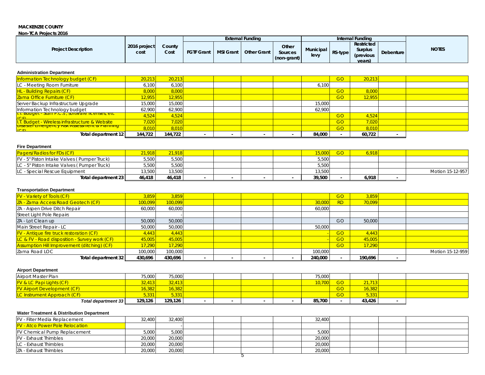#### **MACKENZIE COUNTY**

#### **Non-TCA Projects 2016**

|                            |                      |                |                   |                  | <b>External Funding</b> |                                 |                          |         | Internal Funding                              |           |              |
|----------------------------|----------------------|----------------|-------------------|------------------|-------------------------|---------------------------------|--------------------------|---------|-----------------------------------------------|-----------|--------------|
| <b>Project Description</b> | 2016 project<br>cost | Countv<br>Cost | <b>FGTF Grant</b> | <b>MSI Grant</b> | <b>Other Grant</b>      | Other<br>Sources<br>(non-grant) | <b>Municipal</b><br>levy | RS-type | Restricted<br>Surplus<br>(previous)<br>vears) | Debenture | <b>NOTES</b> |

#### **Administration Department**

| Information Technology budget (CF)                                       | 20,213  | 20,213  |  |  |        | GO        | 20,213 |  |
|--------------------------------------------------------------------------|---------|---------|--|--|--------|-----------|--------|--|
| LC - Meeting Room Furniture                                              | 6,100   | 6,100   |  |  | 6,100  |           |        |  |
| <b>HL</b> - Building Repairs (CF)                                        | 8,000   | 8,000   |  |  |        | <b>GO</b> | 8,000  |  |
| Zama Office Furniture (CF)                                               | 12,955  | 12,955  |  |  |        | GO        | 12,955 |  |
| Server Backup Infrastructure Upgrade                                     | 15,000  | 15,000  |  |  | 15,000 |           |        |  |
| Information Technology budget                                            | 62,900  | 62,900  |  |  | 62,900 |           |        |  |
| <u>I.I. Budget - Stall P.C.ST, software licenses, etc.</u><br>$\sqrt{2}$ | 4,524   | 4,524   |  |  |        | GO        | 4,524  |  |
| <b>I.T. Budget - Wireless infrastructure &amp; Website</b>               | 7,020   | 7,020   |  |  |        | GO        | 7,020  |  |
| <b>Disaster Emergency Risk Assessment &amp; Planning</b><br>$\sqrt{2}$   | 8,010   | 8,010   |  |  |        | GO        | 8,010  |  |
| Total department 12                                                      | 144,722 | 144,722 |  |  | 84,000 |           | 60,722 |  |

#### **Fire Department**

| <b>Pagers/Radios for FDs (CF)</b>           | 21.918l | 21.918l |  |  | 5,000  | GO <sub>1</sub> | 5.918 |                  |
|---------------------------------------------|---------|---------|--|--|--------|-----------------|-------|------------------|
| FV - 5" Piston Intake Valves (Pumper Truck) | 5,500   | 5,500   |  |  | 5,500  |                 |       |                  |
| LC - 5" Piston Intake Valves (Pumper Truck) | 5,500   | 5,500   |  |  | 5,500  |                 |       |                  |
| LC - Special Rescue Equipment               | 13,500  | 13,500  |  |  | 13,500 |                 |       | Motion 15-12-957 |
| Total department 23                         | 46.418  | 46.418  |  |  | 39,500 |                 | 6,918 |                  |

### **Transportation Department**

| <b>FV</b> - Variety of Tools (CF)                        | 3,859   | 3,859   |  |  |         | <b>GO</b>      | 3,859   |                  |
|----------------------------------------------------------|---------|---------|--|--|---------|----------------|---------|------------------|
| ZA - Zama Access Road Geotech (CF)                       | 100.099 | 100,099 |  |  | 30,000  | <b>RD</b>      | 70,099  |                  |
| ZA - Aspen Drive Ditch Repair                            | 60.000  | 60.000  |  |  | 60,000  |                |         |                  |
| Street Light Pole Repairs                                |         |         |  |  |         |                |         |                  |
| ZA - Lot Clean up                                        | 50,000  | 50,000  |  |  |         | GO             | 50,000  |                  |
| Main Street Repair - LC                                  | 50,000  | 50,000  |  |  | 50,000  |                |         |                  |
| <b>FV</b> - Antique fire truck restoration (CF)          | 4,443   | 4,443   |  |  |         | <b>GO</b>      | 4,443   |                  |
| <b>LC &amp; FV - Road disposition - Survey work (CF)</b> | 45,005  | 45,005  |  |  |         | G <sub>O</sub> | 45,005  |                  |
| <b>Assumption Hill Improvement (ditching) (CF)</b>       | 17,290  | 17.290  |  |  |         | GO             | 17.290  |                  |
| Zama Road LOC                                            | 100,000 | 100,000 |  |  | 100,000 |                |         | Motion 15-12-959 |
| Total department 32                                      | 430,696 | 430.696 |  |  | 240.000 |                | 190.696 |                  |

#### **Airport Department**

| Airport Master Plan                 | 75,000                | 75,000  |  |  | 75,000 |    |        |  |
|-------------------------------------|-----------------------|---------|--|--|--------|----|--------|--|
| <b>FV &amp; LC Papi Lights (CF)</b> | 32,413                | 32,413  |  |  | 10,700 | GO |        |  |
| <b>FV Airport Development (CF)</b>  | 16,382 <mark> </mark> | 16,382  |  |  |        | GO | 16,382 |  |
| <b>LC Instrument Approach (CF)</b>  | 5.331                 | 5,331   |  |  |        | GO | 5,331  |  |
| Total department 33                 | 129,126               | 129.126 |  |  | 85,700 |    | 43.426 |  |

### **Water Treatment & Distribution Department**

| <b>FV</b> - Filter Media Replacement   | 32.400 | 32.400 |  | 32.400 |  |  |
|----------------------------------------|--------|--------|--|--------|--|--|
| <b>FV</b> - Atco Power Pole Relocation |        |        |  |        |  |  |
| <b>FV Chemical Pump Replacement</b>    | 5,000  | 5,000  |  | 5.000  |  |  |
| <b>IFV</b> - Exhaust Thimbles          | 20,000 | 20,000 |  | 20,000 |  |  |
| <b>ILC</b> - Exhaust Thimbles          | 20,000 | 20,000 |  | 20,000 |  |  |
| ZA - Exhaust Thimbles                  | 20,000 | 20,000 |  | 20,000 |  |  |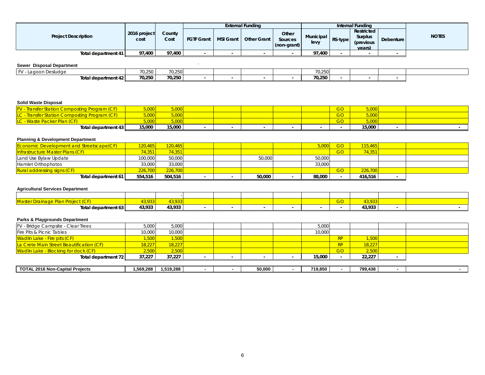|                            |              |        |                   |           | External Funding   |             |                     |         | Internal Funding      |           |              |
|----------------------------|--------------|--------|-------------------|-----------|--------------------|-------------|---------------------|---------|-----------------------|-----------|--------------|
| <b>Project Description</b> | 2016 project | County |                   |           |                    | Other       |                     |         | Restricted            |           | <b>NOTES</b> |
|                            | cost         | Cost   | <b>FGTF Grant</b> | MSI Grant | <b>Other Grant</b> | Sources     | Municipal I<br>levy | RS-type | Surplus<br>(previous) | Debenture |              |
|                            |              |        |                   |           |                    | (non-grant) |                     |         | years)                |           |              |
| Total department 41        | 97,400       | 97.400 |                   |           |                    |             | 97.400              |         |                       |           |              |

### **Sewer Disposal Department** *Sewer Disposal Department*

| EV.<br>i agoon<br>פחמו י<br>auuu | 70.250 | 70.250 |  |  | 70.250<br>70.ZOU   |  |  |
|----------------------------------|--------|--------|--|--|--------------------|--|--|
| Total department 42              | 70,250 | 70,250 |  |  | ግግ 250 L<br>70,250 |  |  |

### **Solid Waste Disposal**

| <b>Transfer Station Composting Program (</b><br><u>ACF</u> | 5,000  | 5,000  |  |  | $\sim$ $\sim$<br>GU | 5,000  |  |  |
|------------------------------------------------------------|--------|--------|--|--|---------------------|--------|--|--|
|                                                            | 000,   | 5,000  |  |  | GO <sub>1</sub>     | 5,000  |  |  |
| - Waste Packer Plan (CF)                                   | 5,000  | 5,000  |  |  | $\sim$ $\sim$<br>GU | 5,000  |  |  |
| Total department 43                                        | 15,000 | 15,000 |  |  |                     | 15,000 |  |  |

### **Planning & Development Department**

| <b>Economic Development and Streetscape (CF)</b> | 120.465l | 120.465 |  |        | 5,000  | GO.       | 115.465 |  |
|--------------------------------------------------|----------|---------|--|--------|--------|-----------|---------|--|
| <b>Infrastructure Master Plans (CF)</b>          | 74.351   | 74,351  |  |        |        | GO        | 74,351  |  |
| Land Use Bylaw Update                            | 100.000  | 50,000  |  | 50,000 | 50,000 |           |         |  |
| Hamlet Orthophotos                               | 33.000   | 33,000  |  |        | 33,000 |           |         |  |
| <b>Rural addressing signs (CF)</b>               | 226.700  | 226.700 |  |        |        | <b>GO</b> | 226,700 |  |
| Total department 61                              | 554,516  | 504,516 |  | 50,000 | 88,000 |           | 416.516 |  |

### **Agricultural Services Department**

| $\sim$ $\sim$ $\sim$<br>$M$ octor<br>er Drainage | 2933   | $\sim$ $\sim$ |  |  | $\sim$ $\sim$<br>99 |                  |  |
|--------------------------------------------------|--------|---------------|--|--|---------------------|------------------|--|
| Total department 63                              | 43,933 | 43,933        |  |  |                     | 13 033<br>70. JU |  |

### **Parks & Playgrounds Department**

| <b>FV</b> - Bridge Campsite - Clear Trees | 5,000      | 5,000     |  |        | 5,000   |           |         |  |
|-------------------------------------------|------------|-----------|--|--------|---------|-----------|---------|--|
| Fire Pits & Picnic Tables                 | 10,000     | 10,000    |  |        | 10,000  |           |         |  |
| <b>Wadlin Lake - Fire pits (CF)</b>       | 1,500      | 1,500     |  |        |         | <b>RP</b> | 1,500   |  |
| La Crete Main Street Beautification (CF)  | 18,227     | 18,227    |  |        |         | RP        | 18,227  |  |
| Wadlin Lake - Blocking for dock (CF)      | 2,500      | 2,500     |  |        |         | GO        | 2,500   |  |
| Total department 72                       | 37,227     | 37,227    |  |        | 15,000  |           | 22.227  |  |
|                                           |            |           |  |        |         |           |         |  |
| <b>TOTAL 2016 Non-Capital Projects</b>    | 569,288. ا | 1,519,288 |  | 50,000 | 719,850 |           | 799.438 |  |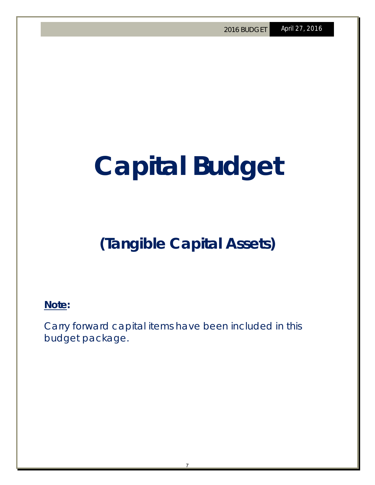### **Capital Budget**

### **(Tangible Capital Assets)**

**Note:** 

Carry forward capital items have been included in this budget package.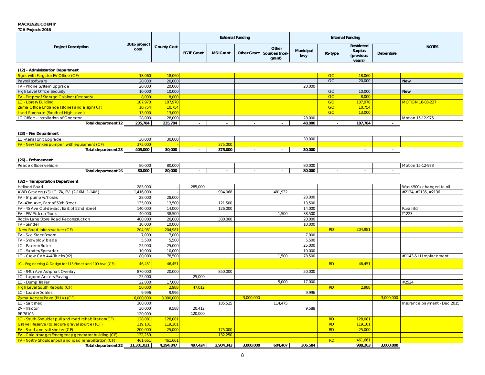### **MACKENZIE COUNTY**

| <b>TCA Projects 2016</b>                        |                      |                    |                   |                  |                         |                                              |                   |           |                                              |           |                         |
|-------------------------------------------------|----------------------|--------------------|-------------------|------------------|-------------------------|----------------------------------------------|-------------------|-----------|----------------------------------------------|-----------|-------------------------|
|                                                 |                      |                    |                   |                  | <b>External Funding</b> |                                              |                   |           | Internal Funding                             |           |                         |
| <b>Project Description</b>                      | 2016 project<br>cost | <b>County Cost</b> | <b>FGTF Grant</b> | <b>MSI Grant</b> |                         | Other<br>Other Grant Sources (non-<br>grant) | Municipal<br>levy | RS-type   | Restricted<br>Surplus<br>(previous<br>vears) | Debenture | <b>NOTES</b>            |
| (12) - Administration Department                |                      |                    |                   |                  |                         |                                              |                   |           |                                              |           |                         |
| Signs with Flags for FV Office (CF)             | 18,060               | 18,060             |                   |                  |                         |                                              |                   | <b>GC</b> | 18,060                                       |           |                         |
| Payroll software                                | 20,000               | 20,000             |                   |                  |                         |                                              |                   | GC        | 20,000                                       |           | <b>New</b>              |
| FV - Phone System Upgrade                       | 20,000               | 20,000             |                   |                  |                         |                                              | 20,000            |           |                                              |           |                         |
| <b>High Level Office Security</b>               | 10,000               | 10,000             |                   |                  |                         |                                              |                   | <b>GC</b> | 10,000                                       |           | <b>New</b>              |
| <b>FV</b> - Fireproof Storage Cabinet (Records) | 8,000                | 8,000              |                   |                  |                         |                                              |                   | <b>GC</b> | 8,000                                        |           |                         |
| <b>LC</b> - Library Building                    | <b>107,970</b>       | 107,970            |                   |                  |                         |                                              |                   | <b>GO</b> | 107,970                                      |           | <b>MOTION 16-03-227</b> |

| Zama Office Entrance (stones and a sign) CF) | 10,754  | 10,754  |         |  |        | GO        | 10,754  |                  |
|----------------------------------------------|---------|---------|---------|--|--------|-----------|---------|------------------|
| Land Purchase (South of High Level)          | 13,000  | 13,000  |         |  |        | <b>GC</b> | 13,000  |                  |
| LC Office - Installation of Gnerator         | 28,000  | 28,000  |         |  | 28,000 |           |         | Motion 15-12-975 |
| Total department 12                          | 235,784 | 235,784 |         |  | 48,000 |           | 187.784 |                  |
|                                              |         |         |         |  |        |           |         |                  |
| (23) - Fire Department                       |         |         |         |  |        |           |         |                  |
| LC -Aerial Unit Upgrade                      | 30,000  | 30,000  |         |  | 30,000 |           |         |                  |
| FV - New tanker/pumper, with equipment (CF)  | 375,000 |         | 375,000 |  |        |           |         |                  |
| Total department 23                          | 405,000 | 30,000  | 375,000 |  | 30,000 |           |         |                  |
|                                              |         |         |         |  |        |           |         |                  |

| (26) - Enforcement    |        |        |  |  |                         |  |                  |
|-----------------------|--------|--------|--|--|-------------------------|--|------------------|
| Peace officer vehicle | 80,000 | 80,000 |  |  | 00.000<br><b>80,000</b> |  | Motion 15-12-973 |
| Total department 26   | 80,000 | 80,000 |  |  | 80,000                  |  |                  |

| (32) - Transportation Department |
|----------------------------------|

| <b>Heliport Road</b><br>285,000<br>285,000<br>Was \$500k changed to oil<br>AWD Graders (x3) LC, ZA, FV (2-16M, 1-14M)<br>934.068<br>481.932<br>1,416,000<br>#2134, #2135, #2136<br>28,000<br>28,000<br>28,000<br>FV - 6" pump w/hoses<br>135,000<br>13,500<br>121,500<br>13,500<br>FV-43rd Ave, East of 50th Street<br>126,000<br>14,000<br>140,000<br>14,000<br>Rural std<br>FV - 45 Ave Cul-de-sac. East of 52nd Street<br>38,500<br>FV - PW Pick up Truck<br>40.000<br>38.500<br>1,500<br>#1223<br>380.000<br>20.000<br>Rocky Lane Store Road Reconstruction<br>20,000<br>400.000<br>10,000<br>10,000<br>FV - Sander<br>10.000<br><b>RD</b><br>204.981<br>204,981<br><b>New Road Infrastructure (CF)</b><br>204,981<br>7.000<br>FV - Skid Steer Broom<br>7.000<br>7,000<br>5.500<br>5,500<br>5,500<br>FV - Snowplow blade<br>LC - Packer/Roller<br>25,000<br>25,000<br>25.000<br>10,000<br>10,000<br>10,000<br>LC - Sander/Spreader<br>80.000<br>78,500<br>1,500<br>78,500<br>LC - Crew Cab 4x4 Trucks (x2)<br>#1143 & LH replacement<br><b>RD</b><br>46,451<br>LC - Engineering & Design for 113 Street and 109 Ave (CF)<br>46,451<br>46,451<br>850,000<br>20,000<br>LC - 94th Ave Ashphalt Overlay<br>870,000<br>20,000<br>25,000<br>25,000<br>LC - Lagoon Access Paving<br>22,000<br>17.000<br>#2524<br>LC - Dump Trailer<br>17,000<br>5,000<br>47,012<br><b>RD</b><br><b>High Level South Rebuild (CF)</b><br>50,000<br>2,988<br>2,988<br>9,996<br>9.996<br>9.996<br>LC - Loader Scales<br>Zama Access Pave (PH V) (CF)<br>3,000,000<br>3,000,000<br>6,000,000<br>3,000,000<br>LC - Salt shed<br>300,000<br>185,525<br>114,475<br>Insurance payment - Dec 2015<br>9,588<br>20,412<br>ZA - Tractor<br>30,000<br>9,588<br>BF 78103<br>120,000<br>120,000<br><b>RD</b><br>LC - South-Shoulder pull and road rehabilitation(CF)<br>128,081<br>128,081<br>128,081<br>119,101<br><b>RD</b><br>Gravel Reserve (to secure gravel source) (CF)<br>119,101<br>119,101<br>175,000<br>FV - Sand and salt shelter (CF)<br>200,000<br><b>RD</b><br>25,000<br>25,000<br>FV - Cold storage/Emergency generator building (CF)<br>132.250<br>132.250<br><b>RD</b><br>FV - North-Shoulder pull and road rehabilitation (CF)<br>461,661<br>461,661<br>461.661<br>4,294,847<br>497.424<br>2,904,343<br>3.000.000<br>604.407<br>306.584<br>988.263<br>Total department 32<br>11,301,021<br>3,000,000 | (32) - transportation Department |  |  |  |  |  |  |
|---------------------------------------------------------------------------------------------------------------------------------------------------------------------------------------------------------------------------------------------------------------------------------------------------------------------------------------------------------------------------------------------------------------------------------------------------------------------------------------------------------------------------------------------------------------------------------------------------------------------------------------------------------------------------------------------------------------------------------------------------------------------------------------------------------------------------------------------------------------------------------------------------------------------------------------------------------------------------------------------------------------------------------------------------------------------------------------------------------------------------------------------------------------------------------------------------------------------------------------------------------------------------------------------------------------------------------------------------------------------------------------------------------------------------------------------------------------------------------------------------------------------------------------------------------------------------------------------------------------------------------------------------------------------------------------------------------------------------------------------------------------------------------------------------------------------------------------------------------------------------------------------------------------------------------------------------------------------------------------------------------------------------------------------------------------------------------------------------------------------------------------------------------------------------------------------------------------------------------------------------------------------------------------------------------------------------------------------------------------------------------------|----------------------------------|--|--|--|--|--|--|
|                                                                                                                                                                                                                                                                                                                                                                                                                                                                                                                                                                                                                                                                                                                                                                                                                                                                                                                                                                                                                                                                                                                                                                                                                                                                                                                                                                                                                                                                                                                                                                                                                                                                                                                                                                                                                                                                                                                                                                                                                                                                                                                                                                                                                                                                                                                                                                                       |                                  |  |  |  |  |  |  |
|                                                                                                                                                                                                                                                                                                                                                                                                                                                                                                                                                                                                                                                                                                                                                                                                                                                                                                                                                                                                                                                                                                                                                                                                                                                                                                                                                                                                                                                                                                                                                                                                                                                                                                                                                                                                                                                                                                                                                                                                                                                                                                                                                                                                                                                                                                                                                                                       |                                  |  |  |  |  |  |  |
|                                                                                                                                                                                                                                                                                                                                                                                                                                                                                                                                                                                                                                                                                                                                                                                                                                                                                                                                                                                                                                                                                                                                                                                                                                                                                                                                                                                                                                                                                                                                                                                                                                                                                                                                                                                                                                                                                                                                                                                                                                                                                                                                                                                                                                                                                                                                                                                       |                                  |  |  |  |  |  |  |
|                                                                                                                                                                                                                                                                                                                                                                                                                                                                                                                                                                                                                                                                                                                                                                                                                                                                                                                                                                                                                                                                                                                                                                                                                                                                                                                                                                                                                                                                                                                                                                                                                                                                                                                                                                                                                                                                                                                                                                                                                                                                                                                                                                                                                                                                                                                                                                                       |                                  |  |  |  |  |  |  |
|                                                                                                                                                                                                                                                                                                                                                                                                                                                                                                                                                                                                                                                                                                                                                                                                                                                                                                                                                                                                                                                                                                                                                                                                                                                                                                                                                                                                                                                                                                                                                                                                                                                                                                                                                                                                                                                                                                                                                                                                                                                                                                                                                                                                                                                                                                                                                                                       |                                  |  |  |  |  |  |  |
|                                                                                                                                                                                                                                                                                                                                                                                                                                                                                                                                                                                                                                                                                                                                                                                                                                                                                                                                                                                                                                                                                                                                                                                                                                                                                                                                                                                                                                                                                                                                                                                                                                                                                                                                                                                                                                                                                                                                                                                                                                                                                                                                                                                                                                                                                                                                                                                       |                                  |  |  |  |  |  |  |
|                                                                                                                                                                                                                                                                                                                                                                                                                                                                                                                                                                                                                                                                                                                                                                                                                                                                                                                                                                                                                                                                                                                                                                                                                                                                                                                                                                                                                                                                                                                                                                                                                                                                                                                                                                                                                                                                                                                                                                                                                                                                                                                                                                                                                                                                                                                                                                                       |                                  |  |  |  |  |  |  |
|                                                                                                                                                                                                                                                                                                                                                                                                                                                                                                                                                                                                                                                                                                                                                                                                                                                                                                                                                                                                                                                                                                                                                                                                                                                                                                                                                                                                                                                                                                                                                                                                                                                                                                                                                                                                                                                                                                                                                                                                                                                                                                                                                                                                                                                                                                                                                                                       |                                  |  |  |  |  |  |  |
|                                                                                                                                                                                                                                                                                                                                                                                                                                                                                                                                                                                                                                                                                                                                                                                                                                                                                                                                                                                                                                                                                                                                                                                                                                                                                                                                                                                                                                                                                                                                                                                                                                                                                                                                                                                                                                                                                                                                                                                                                                                                                                                                                                                                                                                                                                                                                                                       |                                  |  |  |  |  |  |  |
|                                                                                                                                                                                                                                                                                                                                                                                                                                                                                                                                                                                                                                                                                                                                                                                                                                                                                                                                                                                                                                                                                                                                                                                                                                                                                                                                                                                                                                                                                                                                                                                                                                                                                                                                                                                                                                                                                                                                                                                                                                                                                                                                                                                                                                                                                                                                                                                       |                                  |  |  |  |  |  |  |
|                                                                                                                                                                                                                                                                                                                                                                                                                                                                                                                                                                                                                                                                                                                                                                                                                                                                                                                                                                                                                                                                                                                                                                                                                                                                                                                                                                                                                                                                                                                                                                                                                                                                                                                                                                                                                                                                                                                                                                                                                                                                                                                                                                                                                                                                                                                                                                                       |                                  |  |  |  |  |  |  |
|                                                                                                                                                                                                                                                                                                                                                                                                                                                                                                                                                                                                                                                                                                                                                                                                                                                                                                                                                                                                                                                                                                                                                                                                                                                                                                                                                                                                                                                                                                                                                                                                                                                                                                                                                                                                                                                                                                                                                                                                                                                                                                                                                                                                                                                                                                                                                                                       |                                  |  |  |  |  |  |  |
|                                                                                                                                                                                                                                                                                                                                                                                                                                                                                                                                                                                                                                                                                                                                                                                                                                                                                                                                                                                                                                                                                                                                                                                                                                                                                                                                                                                                                                                                                                                                                                                                                                                                                                                                                                                                                                                                                                                                                                                                                                                                                                                                                                                                                                                                                                                                                                                       |                                  |  |  |  |  |  |  |
|                                                                                                                                                                                                                                                                                                                                                                                                                                                                                                                                                                                                                                                                                                                                                                                                                                                                                                                                                                                                                                                                                                                                                                                                                                                                                                                                                                                                                                                                                                                                                                                                                                                                                                                                                                                                                                                                                                                                                                                                                                                                                                                                                                                                                                                                                                                                                                                       |                                  |  |  |  |  |  |  |
|                                                                                                                                                                                                                                                                                                                                                                                                                                                                                                                                                                                                                                                                                                                                                                                                                                                                                                                                                                                                                                                                                                                                                                                                                                                                                                                                                                                                                                                                                                                                                                                                                                                                                                                                                                                                                                                                                                                                                                                                                                                                                                                                                                                                                                                                                                                                                                                       |                                  |  |  |  |  |  |  |
|                                                                                                                                                                                                                                                                                                                                                                                                                                                                                                                                                                                                                                                                                                                                                                                                                                                                                                                                                                                                                                                                                                                                                                                                                                                                                                                                                                                                                                                                                                                                                                                                                                                                                                                                                                                                                                                                                                                                                                                                                                                                                                                                                                                                                                                                                                                                                                                       |                                  |  |  |  |  |  |  |
|                                                                                                                                                                                                                                                                                                                                                                                                                                                                                                                                                                                                                                                                                                                                                                                                                                                                                                                                                                                                                                                                                                                                                                                                                                                                                                                                                                                                                                                                                                                                                                                                                                                                                                                                                                                                                                                                                                                                                                                                                                                                                                                                                                                                                                                                                                                                                                                       |                                  |  |  |  |  |  |  |
|                                                                                                                                                                                                                                                                                                                                                                                                                                                                                                                                                                                                                                                                                                                                                                                                                                                                                                                                                                                                                                                                                                                                                                                                                                                                                                                                                                                                                                                                                                                                                                                                                                                                                                                                                                                                                                                                                                                                                                                                                                                                                                                                                                                                                                                                                                                                                                                       |                                  |  |  |  |  |  |  |
|                                                                                                                                                                                                                                                                                                                                                                                                                                                                                                                                                                                                                                                                                                                                                                                                                                                                                                                                                                                                                                                                                                                                                                                                                                                                                                                                                                                                                                                                                                                                                                                                                                                                                                                                                                                                                                                                                                                                                                                                                                                                                                                                                                                                                                                                                                                                                                                       |                                  |  |  |  |  |  |  |
|                                                                                                                                                                                                                                                                                                                                                                                                                                                                                                                                                                                                                                                                                                                                                                                                                                                                                                                                                                                                                                                                                                                                                                                                                                                                                                                                                                                                                                                                                                                                                                                                                                                                                                                                                                                                                                                                                                                                                                                                                                                                                                                                                                                                                                                                                                                                                                                       |                                  |  |  |  |  |  |  |
|                                                                                                                                                                                                                                                                                                                                                                                                                                                                                                                                                                                                                                                                                                                                                                                                                                                                                                                                                                                                                                                                                                                                                                                                                                                                                                                                                                                                                                                                                                                                                                                                                                                                                                                                                                                                                                                                                                                                                                                                                                                                                                                                                                                                                                                                                                                                                                                       |                                  |  |  |  |  |  |  |
|                                                                                                                                                                                                                                                                                                                                                                                                                                                                                                                                                                                                                                                                                                                                                                                                                                                                                                                                                                                                                                                                                                                                                                                                                                                                                                                                                                                                                                                                                                                                                                                                                                                                                                                                                                                                                                                                                                                                                                                                                                                                                                                                                                                                                                                                                                                                                                                       |                                  |  |  |  |  |  |  |
|                                                                                                                                                                                                                                                                                                                                                                                                                                                                                                                                                                                                                                                                                                                                                                                                                                                                                                                                                                                                                                                                                                                                                                                                                                                                                                                                                                                                                                                                                                                                                                                                                                                                                                                                                                                                                                                                                                                                                                                                                                                                                                                                                                                                                                                                                                                                                                                       |                                  |  |  |  |  |  |  |
|                                                                                                                                                                                                                                                                                                                                                                                                                                                                                                                                                                                                                                                                                                                                                                                                                                                                                                                                                                                                                                                                                                                                                                                                                                                                                                                                                                                                                                                                                                                                                                                                                                                                                                                                                                                                                                                                                                                                                                                                                                                                                                                                                                                                                                                                                                                                                                                       |                                  |  |  |  |  |  |  |
|                                                                                                                                                                                                                                                                                                                                                                                                                                                                                                                                                                                                                                                                                                                                                                                                                                                                                                                                                                                                                                                                                                                                                                                                                                                                                                                                                                                                                                                                                                                                                                                                                                                                                                                                                                                                                                                                                                                                                                                                                                                                                                                                                                                                                                                                                                                                                                                       |                                  |  |  |  |  |  |  |
|                                                                                                                                                                                                                                                                                                                                                                                                                                                                                                                                                                                                                                                                                                                                                                                                                                                                                                                                                                                                                                                                                                                                                                                                                                                                                                                                                                                                                                                                                                                                                                                                                                                                                                                                                                                                                                                                                                                                                                                                                                                                                                                                                                                                                                                                                                                                                                                       |                                  |  |  |  |  |  |  |
|                                                                                                                                                                                                                                                                                                                                                                                                                                                                                                                                                                                                                                                                                                                                                                                                                                                                                                                                                                                                                                                                                                                                                                                                                                                                                                                                                                                                                                                                                                                                                                                                                                                                                                                                                                                                                                                                                                                                                                                                                                                                                                                                                                                                                                                                                                                                                                                       |                                  |  |  |  |  |  |  |
|                                                                                                                                                                                                                                                                                                                                                                                                                                                                                                                                                                                                                                                                                                                                                                                                                                                                                                                                                                                                                                                                                                                                                                                                                                                                                                                                                                                                                                                                                                                                                                                                                                                                                                                                                                                                                                                                                                                                                                                                                                                                                                                                                                                                                                                                                                                                                                                       |                                  |  |  |  |  |  |  |
|                                                                                                                                                                                                                                                                                                                                                                                                                                                                                                                                                                                                                                                                                                                                                                                                                                                                                                                                                                                                                                                                                                                                                                                                                                                                                                                                                                                                                                                                                                                                                                                                                                                                                                                                                                                                                                                                                                                                                                                                                                                                                                                                                                                                                                                                                                                                                                                       |                                  |  |  |  |  |  |  |
|                                                                                                                                                                                                                                                                                                                                                                                                                                                                                                                                                                                                                                                                                                                                                                                                                                                                                                                                                                                                                                                                                                                                                                                                                                                                                                                                                                                                                                                                                                                                                                                                                                                                                                                                                                                                                                                                                                                                                                                                                                                                                                                                                                                                                                                                                                                                                                                       |                                  |  |  |  |  |  |  |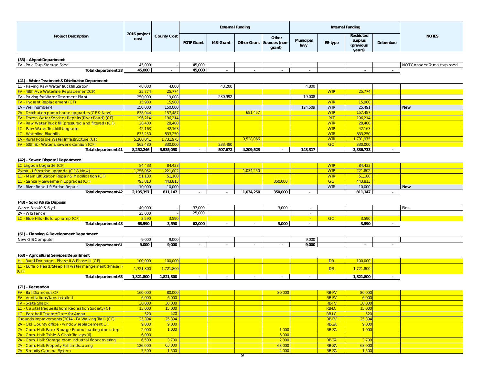|                                                                        |                      |                    |                   |                  | <b>External Funding</b> |                                              |                   |                          | Internal Funding                             |           |                             |
|------------------------------------------------------------------------|----------------------|--------------------|-------------------|------------------|-------------------------|----------------------------------------------|-------------------|--------------------------|----------------------------------------------|-----------|-----------------------------|
| <b>Project Description</b>                                             | 2016 project<br>cost | <b>County Cost</b> | <b>FGTF Grant</b> | <b>MSI Grant</b> |                         | Other<br>Other Grant Sources (non-<br>grant) | Municipal<br>levy | RS-type                  | Restricted<br>Surplus<br>(previous<br>vears) | Debenture | <b>NOTES</b>                |
| (33) - Airport Department                                              |                      |                    |                   |                  |                         |                                              |                   |                          |                                              |           |                             |
| FV - Pole Tarp Storage Shed                                            | 45,000               |                    | 45,000            |                  |                         |                                              |                   |                          |                                              |           | NOT Consider Zama tarp shed |
| Total department 33                                                    | 45,000               | $\sim$             | 45,000            | $\sim$           | $\sim$                  |                                              |                   |                          |                                              |           |                             |
|                                                                        |                      |                    |                   |                  |                         |                                              |                   |                          |                                              |           |                             |
| (41) - Water Treatment & Distribution Department                       |                      |                    |                   |                  |                         |                                              |                   |                          |                                              |           |                             |
| LC - Paving Raw Water Truckfill Station                                | 48,000               | 4,800              |                   | 43,200           |                         |                                              | 4,800             |                          |                                              |           |                             |
| FV - 48th Ave Waterline Replacement(CF)                                | 25,774               | 25,774             |                   |                  |                         |                                              |                   | <b>WTR</b>               | 25,774                                       |           |                             |
| FV - Paving for Water Treatment Plant                                  | 250,000              | 19,008             |                   | 230,992          |                         |                                              | 19,008            |                          |                                              |           |                             |
| <b>FV</b> - Hydrant Replacement (CF)                                   | 15,980               | 15,980             |                   |                  |                         |                                              |                   | <b>WTR</b>               | 15,980                                       |           |                             |
| LA - Well number 4<br>ZA - Distribution pump house upgrades (CF & New) | 150,000<br>838,944   | 150,000<br>157,487 |                   |                  | 681,457                 |                                              | 124,509           | <b>WTR</b><br><b>WTR</b> | 25,491<br>157,487                            |           | <b>New</b>                  |
| <b>FV - Frozen Water Services Repairs (River Road) (CF)</b>            | 196,214              | 196,214            |                   |                  |                         |                                              |                   | <b>PLT</b>               | 196,214                                      |           |                             |
| FV - Raw Water Truck fill (pressured and filtered) (CF)                | 28,400               | 28,400             |                   |                  |                         |                                              |                   | <b>WTR</b>               | 28,400                                       |           |                             |
| LC - Raw Water Truckfill Upgrade                                       | 42,163               | 42,163             |                   |                  |                         |                                              |                   | <b>WTR</b>               | 42,163                                       |           |                             |
| LC - Waterline Bluehills                                               | 833,250              | 833,250            |                   |                  |                         |                                              |                   | <b>WTR</b>               | 833,250                                      |           |                             |
| LA - Rural Potable Water Infrastructure (CF)                           | 5,260,041            | 1,731,975          |                   |                  | 3,528,066               |                                              |                   | <b>WTR</b>               | 1,731,975                                    |           |                             |
| FV - 50th St - Water & sewer extension (CF)                            | 563,480              | 330,000            |                   | 233,480          |                         |                                              |                   | GC                       | 330,000                                      |           |                             |
| Total department 41                                                    | 8,252,246            | 3,535,050          |                   | 507,672          | 4,209,523               |                                              | 148,317           |                          | 3,386,733                                    | $\sim$    |                             |
|                                                                        |                      |                    |                   |                  |                         |                                              |                   |                          |                                              |           |                             |
| (42) - Sewer Disposal Department                                       |                      |                    |                   |                  |                         |                                              |                   |                          |                                              |           |                             |
| LC Lagoon Upgrade (CF)                                                 | 84,433               | 84,433             |                   |                  |                         |                                              |                   | <b>WTR</b>               | 84,433                                       |           |                             |
| Zama - Lift station upgrade (CF & New)                                 | 1,256,052            | 221,802            |                   |                  | 1,034,250               |                                              |                   | <b>WTR</b>               | 221,802                                      |           |                             |
| LC - Main Lift Station Repair & Modification (CF)                      | 51,100               | 51,100             |                   |                  |                         |                                              |                   | <b>WTR</b>               | 51,100                                       |           |                             |
| LC - Sanitary Sewermain Upgrades (CF)                                  | 793,813              | 443,813            |                   |                  |                         | 350,000                                      |                   | <b>GC</b>                | 443,813                                      |           |                             |
| FV - River Road Lift Sation Repair                                     | 10,000               | 10,000             |                   |                  |                         |                                              |                   | <b>WTR</b>               | 10,000                                       |           | <b>New</b>                  |
| Total department 42                                                    | 2,195,397            | 811,147            |                   |                  | 1,034,250               | 350,000                                      |                   |                          | 811,147                                      |           |                             |
|                                                                        |                      |                    |                   |                  |                         |                                              |                   |                          |                                              |           |                             |
| (43) - Solid Waste Disposal<br>Waste Bins 40 & 6 yd                    |                      |                    |                   |                  |                         |                                              |                   |                          |                                              |           |                             |
| ZA - WTS Fence                                                         | 40,000<br>25,000     |                    | 37,000<br>25,000  |                  |                         | 3,000                                        | $\sim$<br>$\sim$  |                          |                                              |           | Bins                        |
| LC - Blue Hills - Build up ramp (CF)                                   | 3,590                | 3,590              |                   |                  |                         |                                              | <b>CO</b>         | <b>GC</b>                | 3,590                                        |           |                             |
| Total department 43                                                    | 68,590               | 3,590              | 62,000            | $\sim$           | $\sim$                  | 3,000                                        | $\sim$            |                          | 3,590                                        | $\sim$    |                             |
|                                                                        |                      |                    |                   |                  |                         |                                              |                   |                          |                                              |           |                             |
| (61) - Planning & Development Department                               |                      |                    |                   |                  |                         |                                              |                   |                          |                                              |           |                             |
| New GIS Computer                                                       | 9,000                | 9,000              |                   |                  |                         |                                              | 9,000             |                          |                                              |           |                             |
| Total department 61                                                    | 9,000                | 9,000              |                   |                  |                         |                                              | 9,000             |                          |                                              | $\sim$    |                             |
|                                                                        |                      |                    |                   |                  |                         |                                              |                   |                          |                                              |           |                             |
| (63) - Agricultural Services Department                                |                      |                    |                   |                  |                         |                                              |                   |                          |                                              |           |                             |
| HL - Rural Drainage - Phase II & Phase III (CF)                        | 100,000              | 100,000            |                   |                  |                         |                                              |                   | <b>DR</b>                | 100,000                                      |           |                             |
| LC - Buffalo Head/Steep Hill water mangement (Phase I)                 | 1,721,800            | 1,721,800          |                   |                  |                         |                                              |                   | <b>DR</b>                | 1,721,800                                    |           |                             |
| CF <br>Total department 63                                             | 1,821,800            | 1,821,800          | $\sim$            | $\sim$           | $\sim$                  | $\sim$                                       | $\sim$            |                          | 1,821,800                                    | $\sim$    |                             |
|                                                                        |                      |                    |                   |                  |                         |                                              |                   |                          |                                              |           |                             |
| (71) - Recreation                                                      |                      |                    |                   |                  |                         |                                              |                   |                          |                                              |           |                             |
| <b>FV - Ball Diamonds CF</b>                                           | 160,000              | 80,000             |                   |                  |                         | 80,000                                       |                   | <b>RB-FV</b>             | 80,000                                       |           |                             |
| <b>FV</b> - Ventilations/fans installed                                | 6,000                | 6,000              |                   |                  |                         |                                              |                   | <b>RB-FV</b>             | 6,000                                        |           |                             |
| <b>FV</b> - Skate Shack                                                | 30,000               | 30,000             |                   |                  |                         |                                              |                   | <b>RB-FV</b>             | 30,000                                       |           |                             |
| LC - Capital (requests from Recreation Society) CF                     | 15,000               | 15,000             |                   |                  |                         |                                              |                   | <b>RB-LC</b>             | 15,000                                       |           |                             |
| LC - Baseball Tractor/Gate for Arena                                   | 520                  | 520                |                   |                  |                         |                                              |                   | <b>RB-LC</b>             | 520                                          |           |                             |
| Grounds Improvements (2014 - FV Walking Trail) (CF)                    | 25,394               | 25,394             |                   |                  |                         |                                              |                   | <b>RB-FV</b>             | 25,394                                       |           |                             |
| ZA - Old County office - window replacement CF                         | 9,000                | 9,000              |                   |                  |                         |                                              |                   | <b>RB-ZA</b>             | 9,000                                        |           |                             |
| ZA - Com. Hall: Back Storage Room/Loading dock step                    | 2,000                | 1,000              |                   |                  |                         | 1,000                                        |                   | RB-ZA                    | 1,000                                        |           |                             |
| ZA - Com. Hall: Table & Chair Trolleys (6)                             | 6,000                | $\sim$             |                   |                  |                         | 6,000                                        |                   |                          |                                              |           |                             |
| ZA - Com. Hall: Storage room industrial floor covering                 | 6,500                | 3,700              |                   |                  |                         | 2,800                                        |                   | <b>RB-ZA</b>             | 3,700                                        |           |                             |
| ZA - Com. Hall: Property Full landscaping                              | 126,000              | 63,000             |                   |                  |                         | 63,000                                       |                   | <b>RB-ZA</b>             | 63,000                                       |           |                             |
| ZA - Security Camera System                                            | 5,500                | 1,500              |                   |                  |                         | 4,000                                        |                   | <b>RB-ZA</b>             | 1,500                                        |           |                             |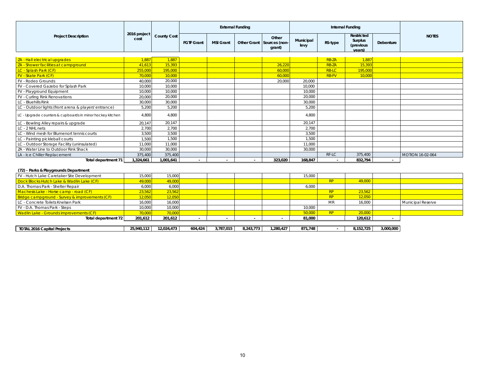|                                                           |                      |             |                   |                          | <b>External Funding</b> |                                              |                   |              | Internal Funding                             |           |                          |
|-----------------------------------------------------------|----------------------|-------------|-------------------|--------------------------|-------------------------|----------------------------------------------|-------------------|--------------|----------------------------------------------|-----------|--------------------------|
| <b>Project Description</b>                                | 2016 project<br>cost | County Cost | <b>FGTF Grant</b> | <b>MSI Grant</b>         |                         | Other<br>Other Grant Sources (non-<br>grant) | Municipal<br>levy | RS-type      | Restricted<br>Surplus<br>(previous<br>vears) | Debenture | <b>NOTES</b>             |
| ZA - Hall electrical upgrades                             | 1.887                | 1.887       |                   |                          |                         |                                              |                   | <b>RB-ZA</b> | 1.887                                        |           |                          |
| ZA - Shower facilities at campground                      | 41,613               | 15,393      |                   |                          |                         | 26,220                                       |                   | <b>RB-ZA</b> | 15,393                                       |           |                          |
| LC - Splash Park (CF)                                     | 255,000              | 195,000     |                   |                          |                         | 60,000                                       |                   | <b>RB-LC</b> | 195,000                                      |           |                          |
| <b>FV</b> - Skate Park (CF)                               | 70,000               | 10,000      |                   |                          |                         | 60,000                                       |                   | <b>RB-FV</b> | 10,000                                       |           |                          |
| FV - Rodeo Grounds                                        | 40,000               | 20,000      |                   |                          |                         | 20,000                                       | 20,000            |              |                                              |           |                          |
| FV - Covered Gazebo for Splash Park                       | 10,000               | 10.000      |                   |                          |                         |                                              | 10,000            |              |                                              |           |                          |
| FV - Playground Equipment                                 | 10.000               | 10,000      |                   |                          |                         |                                              | 10.000            |              |                                              |           |                          |
| <b>FV</b> - Curling Rink Renovations                      | 20.000               | 20,000      |                   |                          |                         |                                              | 20.000            |              |                                              |           |                          |
| LC - Bluehills Rink                                       | 30.000               | 30,000      |                   |                          |                         |                                              | 30.000            |              |                                              |           |                          |
| LC - Outdoor lights (front arena & players' entrance)     | 5,200                | 5,200       |                   |                          |                         |                                              | 5,200             |              |                                              |           |                          |
| LC - Upgrade counters & cupboards in minor hockey kitchen | 4,800                | 4,800       |                   |                          |                         |                                              | 4.800             |              |                                              |           |                          |
| LC - Bowling Alley repairs & upgrade                      | 20,147               | 20,147      |                   |                          |                         |                                              | 20,147            |              |                                              |           |                          |
| LC - 2 NHL nets                                           | 2,700                | 2,700       |                   |                          |                         |                                              | 2.700             |              |                                              |           |                          |
| LC - Wind mesh for Blumenort tennis courts                | 3,500                | 3,500       |                   |                          |                         |                                              | 3,500             |              |                                              |           |                          |
| LC - Painting pickleball courts                           | 1,500                | 1,500       |                   |                          |                         |                                              | 1,500             |              |                                              |           |                          |
| LC - Outdoor Storage Facility (uninsulated)               | 11,000               | 11,000      |                   |                          |                         |                                              | 11,000            |              |                                              |           |                          |
| ZA - Water Line to Outdoor Rink Shack                     | 30,000               | 30.000      |                   |                          |                         |                                              | 30.000            |              |                                              |           |                          |
| LA - Ice Chiller Replacement                              | 375.400              | 375,400     |                   |                          |                         |                                              |                   | RF-LC        | 375.400                                      |           | <b>MOTION 16-02-064</b>  |
| Total department 71                                       | 1,324,661            | 1,001,641   |                   |                          |                         | 323.020                                      | 168.847           |              | 832.794                                      |           |                          |
| (72) - Parks & Playgrounds Department                     |                      |             |                   |                          |                         |                                              |                   |              |                                              |           |                          |
| FV - Hutch Lake Caretaker Site Development                | 15,000               | 15,000      |                   |                          |                         |                                              | 15,000            |              |                                              |           |                          |
| Dock Blocks Hutch Lake & Wadlin Lake (CF)                 | 49.000               | 49,000      |                   |                          |                         |                                              |                   | RP           | 49,000                                       |           |                          |
| D.A. Thomas Park - Shelter Repair                         | 6,000                | 6,000       |                   |                          |                         |                                              | 6,000             |              |                                              |           |                          |
| Machesis Lake - Horse camp - road (CF)                    | 23.562               | 23,562      |                   |                          |                         |                                              |                   | RP           | 23,562                                       |           |                          |
| Bridge campground - Survey & improvements (CF)            | 12,050               | 12,050      |                   |                          |                         |                                              |                   | RP           | 12,050                                       |           |                          |
| LC - Concrete Toilets Knelsen Park                        | 16.000               | 16.000      |                   |                          |                         |                                              |                   | <b>MR</b>    | 16,000                                       |           | <b>Municipal Reserve</b> |
| FV - D.A. Thomas Park - Steps                             | 10,000               | 10,000      |                   |                          |                         |                                              | 10,000            |              |                                              |           |                          |
| <b>Wadlin Lake - Grounds improvements (CF)</b>            | 70,000               | 70,000      |                   |                          |                         |                                              | 50,000            | RP           | 20,000                                       |           |                          |
| Total department 72                                       | 201,612              | 201,612     | $\sim$            | $\overline{\phantom{a}}$ | $\sim$                  |                                              | 81,000            |              | 120,612                                      | ٠         |                          |

| 010112<br>.<br>.<br>, ت ک | 12,024,473 | 604,424 | 1.787.015 | 8.243.773 | ,280,427 | 871.748<br>O/I | 8,152,725 | 3,000,000 |
|---------------------------|------------|---------|-----------|-----------|----------|----------------|-----------|-----------|
|                           |            |         |           |           |          |                |           |           |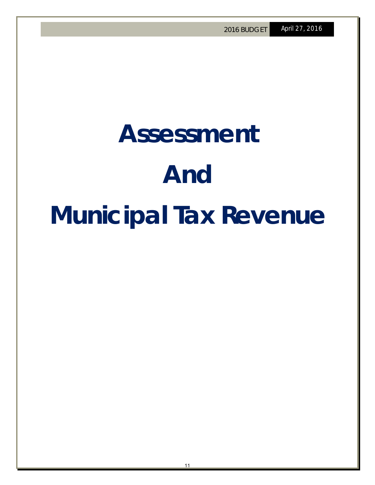## **Assessment And Municipal Tax Revenue**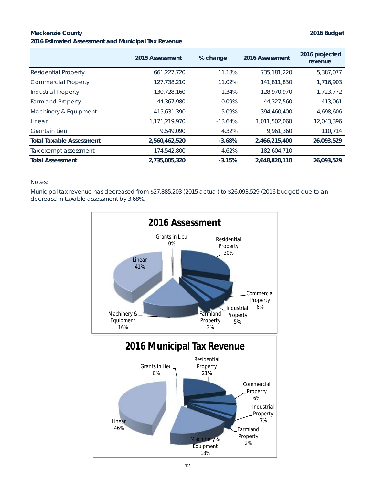### **Mackenzie County 2016 Budget 2016 Estimated Assessment and Municipal Tax Revenue**

|                                 | 2015 Assessment | % change  | 2016 Assessment | 2016 projected<br>revenue |
|---------------------------------|-----------------|-----------|-----------------|---------------------------|
| <b>Residential Property</b>     | 661,227,720     | 11.18%    | 735,181,220     | 5,387,077                 |
| <b>Commercial Property</b>      | 127,738,210     | 11.02%    | 141,811,830     | 1,716,903                 |
| <b>Industrial Property</b>      | 130,728,160     | $-1.34%$  | 128,970,970     | 1,723,772                 |
| <b>Farmland Property</b>        | 44,367,980      | $-0.09%$  | 44,327,560      | 413,061                   |
| Machinery & Equipment           | 415,631,390     | $-5.09\%$ | 394,460,400     | 4,698,606                 |
| Linear                          | 1,171,219,970   | $-13.64%$ | 1,011,502,060   | 12,043,396                |
| <b>Grants in Lieu</b>           | 9.549.090       | 4.32%     | 9,961,360       | 110,714                   |
| <b>Total Taxable Assessment</b> | 2,560,462,520   | $-3.68%$  | 2,466,215,400   | 26,093,529                |
| Tax exempt assessment           | 174,542,800     | 4.62%     | 182,604,710     |                           |
| <b>Total Assessment</b>         | 2.735.005.320   | $-3.15%$  | 2.648.820.110   | 26.093.529                |

### Notes:

Municipal tax revenue has decreased from \$27,885,203 (2015 actual) to \$26,093,529 (2016 budget) due to an decrease in taxable assessment by 3.68%.

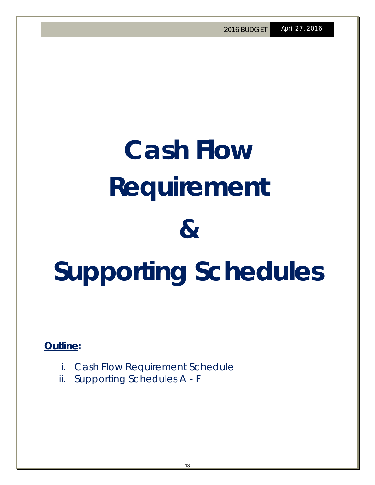# **Cash Flow Requirement & Supporting Schedules**

**Outline:** 

- i. Cash Flow Requirement Schedule
- ii. Supporting Schedules A F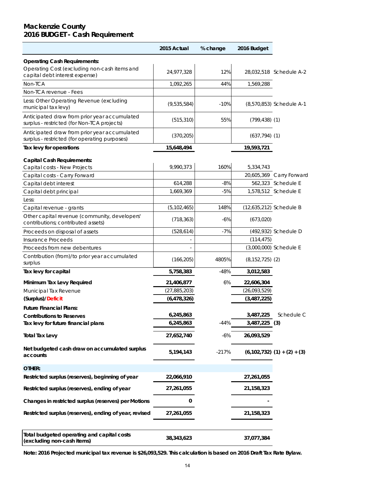### **Mackenzie County 2016 BUDGET - Cash Requirement**

|                                                                                               | 2015 Actual    | % change | 2016 Budget             |                                 |
|-----------------------------------------------------------------------------------------------|----------------|----------|-------------------------|---------------------------------|
| <b>Operating Cash Requirements:</b>                                                           |                |          |                         |                                 |
| Operating Cost (excluding non-cash items and<br>capital debt interest expense)                | 24,977,328     | 12%      |                         | 28,032,518 Schedule A-2         |
| Non-TCA                                                                                       | 1,092,265      | 44%      | 1,569,288               |                                 |
| Non-TCA revenue - Fees                                                                        |                |          |                         |                                 |
| Less: Other Operating Revenue (excluding<br>municipal tax levy)                               | (9,535,584)    | $-10%$   |                         | (8,570,853) Schedule A-1        |
| Anticipated draw from prior year accumulated<br>surplus - restricted (for Non-TCA projects)   | (515, 310)     | 55%      | $(799, 438)$ (1)        |                                 |
| Anticipated draw from prior year accumulated<br>surplus - restricted (for operating purposes) | (370, 205)     |          | $(637, 794)$ (1)        |                                 |
| Tax levy for operations                                                                       | 15,648,494     |          | 19,593,721              |                                 |
| <b>Capital Cash Requirements:</b>                                                             |                |          |                         |                                 |
| Capital costs - New Projects                                                                  | 9,990,373      | 160%     | 5,334,743               |                                 |
| Capital costs - Carry Forward                                                                 |                |          |                         | 20,605,369 Carry Forward        |
| Capital debt interest                                                                         | 614,288        | $-8%$    |                         | 562,323 Schedule E              |
| Capital debt principal                                                                        | 1,669,369      | $-5%$    |                         | 1,578,512 Schedule E            |
| Less:                                                                                         |                |          |                         |                                 |
| Capital revenue - grants                                                                      | (5, 102, 465)  | 148%     | (12,635,212) Schedule B |                                 |
| Other capital revenue (community, developers'<br>contributions; contributed assets)           | (718, 363)     | $-6%$    | (673,020)               |                                 |
| Proceeds on disposal of assets                                                                | (528, 614)     | $-7%$    |                         | (492,932) Schedule D            |
| <b>Insurance Proceeds</b>                                                                     |                |          | (114, 475)              |                                 |
| Proceeds from new debentures                                                                  |                |          |                         | (3,000,000) Schedule E          |
| Contribution (from)/to prior year accumulated                                                 |                |          |                         |                                 |
| surplus                                                                                       | (166, 205)     | 4805%    | $(8, 152, 725)$ $(2)$   |                                 |
| Tax levy for capital                                                                          | 5,758,383      | $-48%$   | 3,012,583               |                                 |
| Minimum Tax Levy Required                                                                     | 21,406,877     | 6%       | 22,606,304              |                                 |
| Municipal Tax Revenue                                                                         | (27, 885, 203) |          | (26,093,529)            |                                 |
| (Surplus)/Deficit                                                                             | (6, 478, 326)  |          | (3,487,225)             |                                 |
| <b>Future Financial Plans:</b>                                                                |                |          |                         |                                 |
| <b>Contributions to Reserves</b>                                                              | 6,245,863      |          | 3,487,225               | Schedule C                      |
| Tax levy for future financial plans                                                           | 6,245,863      | $-44%$   | 3,487,225               | (3)                             |
|                                                                                               |                |          |                         |                                 |
| <b>Total Tax Levy</b>                                                                         | 27,652,740     | $-6%$    | 26,093,529              |                                 |
| Net budgeted cash draw on accumulated surplus<br>accounts                                     | 5,194,143      | $-217%$  |                         | $(6,102,732)$ $(1) + (2) + (3)$ |
| OTHER:                                                                                        |                |          |                         |                                 |
| Restricted surplus (reserves), beginning of year                                              | 22,066,910     |          | 27,261,055              |                                 |
| Restricted surplus (reserves), ending of year                                                 | 27,261,055     |          | 21,158,323              |                                 |
| Changes in restricted surplus (reserves) per Motions                                          | 0              |          |                         |                                 |
| Restricted surplus (reserves), ending of year, revised                                        | 27,261,055     |          | 21, 158, 323            |                                 |
| Total budgeted operating and capital costs<br>(excluding non-cash items)                      | 38,343,623     |          | 37,077,384              |                                 |

**Note: 2016 Projected municipal tax revenue is \$26,093,529. This calculation is based on 2016 Draft Tax Rate Bylaw.**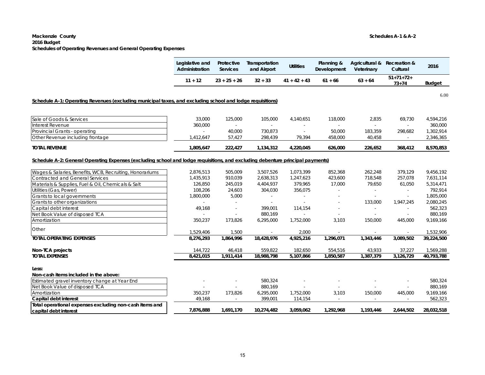### **Mackenzie County Schedules A-1 & A-2 2016 Budget Schedules of Operating Revenues and General Operating Expenses**

|                                                                                                                                | Legislative and<br>Administration | Protective<br>Services   | Transportation<br>and Airport | <b>Utilities</b> | Planning &<br>Development | Agricultural & Recreation &<br>Veterinary | Cultural                 | 2016          |
|--------------------------------------------------------------------------------------------------------------------------------|-----------------------------------|--------------------------|-------------------------------|------------------|---------------------------|-------------------------------------------|--------------------------|---------------|
|                                                                                                                                | $11 + 12$                         | $23 + 25 + 26$           | $32 + 33$                     | $41 + 42 + 43$   | $61 + 66$                 | $63 + 64$                                 | $51+71+72+$<br>$73 + 74$ | <b>Budget</b> |
| Schedule A-1: Operating Revenues (excluding municipal taxes, and excluding school and lodge requisitions)                      |                                   |                          |                               |                  |                           |                                           |                          | 6.00          |
|                                                                                                                                |                                   |                          |                               |                  |                           |                                           |                          |               |
| Sale of Goods & Services                                                                                                       | 33,000                            | 125,000                  | 105,000                       | 4,140,651        | 118,000                   | 2,835                                     | 69,730                   | 4,594,216     |
| Interest Revenue                                                                                                               | 360,000                           | $\sim$                   | $\sim$                        |                  | $\blacksquare$            |                                           | ÷                        | 360,000       |
| Provincial Grants - operating                                                                                                  |                                   | 40,000                   | 730,873                       | $\omega$         | 50,000                    | 183,359                                   | 298,682                  | 1,302,914     |
| Other Revenue including frontage                                                                                               | 1,412,647                         | 57,427                   | 298,439                       | 79,394           | 458,000                   | 40,458                                    | $\sim$                   | 2,346,365     |
| <b>TOTAL REVENUE</b>                                                                                                           | 1,805,647                         | 222,427                  | 1,134,312                     | 4,220,045        | 626,000                   | 226,652                                   | 368,412                  | 8,570,853     |
|                                                                                                                                |                                   |                          |                               |                  |                           |                                           |                          |               |
| Schedule A-2: General Operating Expenses (excluding school and lodge requisitions, and excluding debenture principal payments) |                                   |                          |                               |                  |                           |                                           |                          |               |
| Wages & Salaries, Benefits, WCB, Recruiting, Honorariums                                                                       | 2,876,513                         | 505,009                  | 3,507,526                     | 1,073,399        | 852,368                   | 262,248                                   | 379,129                  | 9,456,192     |
| <b>Contracted and General Services</b>                                                                                         | 1.435.913                         | 910,039                  | 2,638,313                     | 1,247,623        | 423,600                   | 718,548                                   | 257,078                  | 7,631,114     |
| Materials & Supplies, Fuel & Oil, Chemicals & Salt                                                                             | 126,850                           | 245,019                  | 4,404,937                     | 379,965          | 17,000                    | 79,650                                    | 61,050                   | 5,314,471     |
| Utilities (Gas, Power)                                                                                                         | 108,206                           | 24,603                   | 304,030                       | 356,075          |                           |                                           | ÷                        | 792,914       |
| Grants to local governments                                                                                                    | 1,800,000                         | 5,000                    |                               |                  |                           | $\sim$                                    | $\blacksquare$           | 1,805,000     |
| Grants to other organizations                                                                                                  | $\sim$                            | $\sim$                   | $\sim$                        | $\sim$           | ٠                         | 133,000                                   | 1,947,245                | 2,080,245     |
| Capital debt interest                                                                                                          | 49,168                            | $\overline{\phantom{a}}$ | 399,001                       | 114,154          | $\overline{\phantom{a}}$  | $\sim$                                    | ÷                        | 562,323       |
| Net Book Value of disposed TCA                                                                                                 |                                   |                          | 880,169                       | $\sim$           |                           |                                           |                          | 880,169       |
| Amortization                                                                                                                   | 350,237                           | 173,826                  | 6,295,000                     | 1,752,000        | 3,103                     | 150,000                                   | 445,000                  | 9,169,166     |
| Other                                                                                                                          | 1,529,406                         | 1,500                    |                               | 2,000            |                           |                                           |                          | 1,532,906     |
| <b>TOTAL OPERATING EXPENSES</b>                                                                                                | 8,276,293                         | 1,864,996                | 18,428,976                    | 4,925,216        | 1,296,071                 | 1,343,446                                 | 3,089,502                | 39,224,500    |
| Non-TCA projects                                                                                                               | 144,722                           | 46,418                   | 559,822                       | 182,650          | 554,516                   | 43,933                                    | 37,227                   | 1,569,288     |
| <b>TOTAL EXPENSES</b>                                                                                                          | 8,421,015                         | 1,911,414                | 18,988,798                    | 5,107,866        | 1,850,587                 | 1,387,379                                 | 3,126,729                | 40,793,788    |
| Less:                                                                                                                          |                                   |                          |                               |                  |                           |                                           |                          |               |
| Non-cash items included in the above:                                                                                          |                                   |                          |                               |                  |                           |                                           |                          |               |
| Estimated gravel inventory change at Year End                                                                                  |                                   |                          | 580,324                       |                  |                           |                                           |                          | 580,324       |
| Net Book Value of disposed TCA                                                                                                 |                                   |                          | 880,169                       |                  |                           |                                           |                          | 880,169       |
| Amortization                                                                                                                   | 350,237                           | 173,826                  | 6,295,000                     | 1,752,000        | 3,103                     | 150,000                                   | 445,000                  | 9,169,166     |
| Capital debt interest                                                                                                          | 49,168                            | $\blacksquare$           | 399,001                       | 114,154          | $\blacksquare$            |                                           | $\sim$                   | 562,323       |
| Total operational expenses excluding non-cash items and                                                                        |                                   |                          |                               |                  |                           |                                           |                          |               |
| capital debt interest                                                                                                          | 7,876,888                         | 1,691,170                | 10,274,482                    | 3,059,062        | 1,292,968                 | 1,193,446                                 | 2,644,502                | 28,032,518    |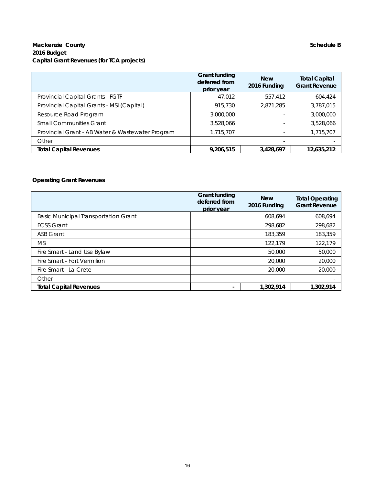### **Mackenzie County Schedule B Schedule B 2016 Budget Capital Grant Revenues (for TCA projects)**

|                                                  | Grant funding<br>deferred from<br>prior year | <b>New</b><br>2016 Funding | <b>Total Capital</b><br><b>Grant Revenue</b> |
|--------------------------------------------------|----------------------------------------------|----------------------------|----------------------------------------------|
| Provincial Capital Grants - FGTF                 | 47,012                                       | 557,412                    | 604,424                                      |
| Provincial Capital Grants - MSI (Capital)        | 915,730                                      | 2,871,285                  | 3,787,015                                    |
| Resource Road Program                            | 3,000,000                                    |                            | 3,000,000                                    |
| <b>Small Communities Grant</b>                   | 3,528,066                                    |                            | 3,528,066                                    |
| Provincial Grant - AB Water & Wastewater Program | 1,715,707                                    |                            | 1,715,707                                    |
| Other                                            |                                              |                            |                                              |
| <b>Total Capital Revenues</b>                    | 9,206,515                                    | 3,428,697                  | 12,635,212                                   |

### **Operating Grant Revenues**

|                                             | Grant funding<br>deferred from<br>prior year | <b>New</b><br>2016 Funding | <b>Total Operating</b><br><b>Grant Revenue</b> |
|---------------------------------------------|----------------------------------------------|----------------------------|------------------------------------------------|
| <b>Basic Municipal Transportation Grant</b> |                                              | 608.694                    | 608.694                                        |
| <b>FCSS Grant</b>                           |                                              | 298,682                    | 298,682                                        |
| <b>ASB Grant</b>                            |                                              | 183,359                    | 183,359                                        |
| <b>MSI</b>                                  |                                              | 122.179                    | 122,179                                        |
| Fire Smart - Land Use Bylaw                 |                                              | 50,000                     | 50,000                                         |
| Fire Smart - Fort Vermilion                 |                                              | 20,000                     | 20,000                                         |
| Fire Smart - La Crete                       |                                              | 20,000                     | 20,000                                         |
| Other                                       |                                              |                            |                                                |
| <b>Total Capital Revenues</b>               |                                              | 1,302,914                  | 1,302,914                                      |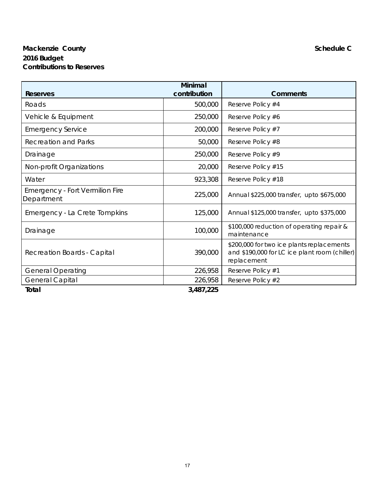### **Mackenzie County Schedule C Schedule C Schedule C Schedule C Schedule C Schedule C 2016 Budget Contributions to Reserves**

|                                                      | Minimal      |                                                                                                           |
|------------------------------------------------------|--------------|-----------------------------------------------------------------------------------------------------------|
| Reserves                                             | contribution | <b>Comments</b>                                                                                           |
| Roads                                                | 500,000      | Reserve Policy #4                                                                                         |
| Vehicle & Equipment                                  | 250,000      | Reserve Policy #6                                                                                         |
| <b>Emergency Service</b>                             | 200,000      | Reserve Policy #7                                                                                         |
| <b>Recreation and Parks</b>                          | 50,000       | Reserve Policy #8                                                                                         |
| Drainage                                             | 250,000      | Reserve Policy #9                                                                                         |
| Non-profit Organizations                             | 20,000       | Reserve Policy #15                                                                                        |
| Water                                                | 923,308      | Reserve Policy #18                                                                                        |
| <b>Emergency - Fort Vermilion Fire</b><br>Department | 225,000      | Annual \$225,000 transfer, upto \$675,000                                                                 |
| Emergency - La Crete Tompkins                        | 125,000      | Annual \$125,000 transfer, upto \$375,000                                                                 |
| Drainage                                             | 100,000      | \$100,000 reduction of operating repair &<br>maintenance                                                  |
| <b>Recreation Boards - Capital</b>                   | 390,000      | \$200,000 for two ice plants replacements<br>and \$190,000 for LC ice plant room (chiller)<br>replacement |
| <b>General Operating</b>                             | 226,958      | Reserve Policy #1                                                                                         |
| <b>General Capital</b>                               | 226,958      | Reserve Policy #2                                                                                         |
| Total                                                | 3,487,225    |                                                                                                           |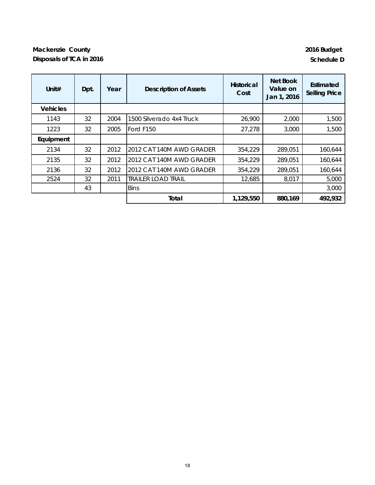### **Mackenzie County 2016 Budget Disposals of TCA in 2016 Schedule D**

| Unit $#$        | Dpt. | Year | <b>Description of Assets</b> | <b>Historical</b><br>Cost | Net Book<br>Value on<br>Jan 1, 2016 | Estimated<br><b>Selling Price</b> |
|-----------------|------|------|------------------------------|---------------------------|-------------------------------------|-----------------------------------|
| <b>Vehicles</b> |      |      |                              |                           |                                     |                                   |
| 1143            | 32   | 2004 | 1500 Silverado 4x4 Truck     | 26,900                    | 2,000                               | 1,500                             |
| 1223            | 32   | 2005 | Ford F150                    | 27,278                    | 3,000                               | 1,500                             |
| Equipment       |      |      |                              |                           |                                     |                                   |
| 2134            | 32   | 2012 | 2012 CAT 140M AWD GRADER     | 354,229                   | 289,051                             | 160,644                           |
| 2135            | 32   | 2012 | 2012 CAT 140M AWD GRADER     | 354,229                   | 289,051                             | 160,644                           |
| 2136            | 32   | 2012 | 2012 CAT 140M AWD GRADER     | 354,229                   | 289,051                             | 160,644                           |
| 2524            | 32   | 2011 | <b>TRAILER LOAD TRAIL</b>    | 12,685                    | 8,017                               | 5,000                             |
|                 | 43   |      | <b>Bins</b>                  |                           |                                     | 3,000                             |
|                 |      |      | Total                        | 1,129,550                 | 880,169                             | 492,932                           |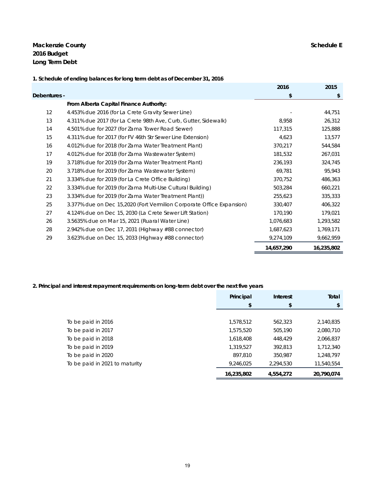**Mackenzie County Schedule E 2016 Budget Long Term Debt**

|              |                                                                       | 2016       | 2015       |
|--------------|-----------------------------------------------------------------------|------------|------------|
| Debentures - |                                                                       | \$         | \$         |
|              | From Alberta Capital Finance Authority:                               |            |            |
| 12           | 4.453% due 2016 (for La Crete Gravity Sewer Line)                     |            | 44,751     |
| 13           | 4.311% due 2017 (for La Crete 98th Ave, Curb, Gutter, Sidewalk)       | 8,958      | 26,312     |
| 14           | 4.501% due for 2027 (for Zama Tower Road Sewer)                       | 117,315    | 125,888    |
| 15           | 4.311% due for 2017 (for FV 46th Str Sewer Line Extension)            | 4,623      | 13,577     |
| 16           | 4.012% due for 2018 (for Zama Water Treatment Plant)                  | 370,217    | 544,584    |
| 17           | 4.012% due for 2018 (for Zama Wastewater System)                      | 181,532    | 267,031    |
| 19           | 3.718% due for 2019 (for Zama Water Treatment Plant)                  | 236,193    | 324,745    |
| 20           | 3.718% due for 2019 (for Zama Wastewater System)                      | 69,781     | 95,943     |
| 21           | 3.334% due for 2019 (for La Crete Office Building)                    | 370,752    | 486,363    |
| 22           | 3.334% due for 2019 (for Zama Multi-Use Cultural Building)            | 503,284    | 660,221    |
| 23           | 3.334% due for 2019 (for Zama Water Treatment Plant))                 | 255,623    | 335,333    |
| 25           | 3.377% due on Dec 15,2020 (Fort Vermilion Corporate Office Expansion) | 330,407    | 406,322    |
| 27           | 4.124% due on Dec 15, 2030 (La Crete Sewer Lift Station)              | 170,190    | 179,021    |
| 26           | 3.5635% due on Mar 15, 2021 (Ruaral Water Line)                       | 1,076,683  | 1,293,582  |
| 28           | 2.942% due on Dec 17, 2031 (Highway $#88$ connector)                  | 1,687,623  | 1,769,171  |
| 29           | 3.623% due on Dec 15, 2033 (Highway #88 connector)                    | 9,274,109  | 9,662,959  |
|              |                                                                       | 14,657,290 | 16,235,802 |

### **1. Schedule of ending balances for long term debt as of December 31, 2016**

### **2. Principal and interest repayment requirements on long-term debt over the next five years**

|                                | Principal  | <b>Interest</b> | Total      |
|--------------------------------|------------|-----------------|------------|
|                                | \$         | \$              | \$         |
|                                |            |                 |            |
| To be paid in 2016             | 1,578,512  | 562,323         | 2,140,835  |
| To be paid in 2017             | 1,575,520  | 505,190         | 2,080,710  |
| To be paid in 2018             | 1,618,408  | 448,429         | 2,066,837  |
| To be paid in 2019             | 1,319,527  | 392,813         | 1,712,340  |
| To be paid in 2020             | 897,810    | 350,987         | 1,248,797  |
| To be paid in 2021 to maturity | 9,246,025  | 2,294,530       | 11,540,554 |
|                                | 16,235,802 | 4,554,272       | 20,790,074 |
|                                |            |                 |            |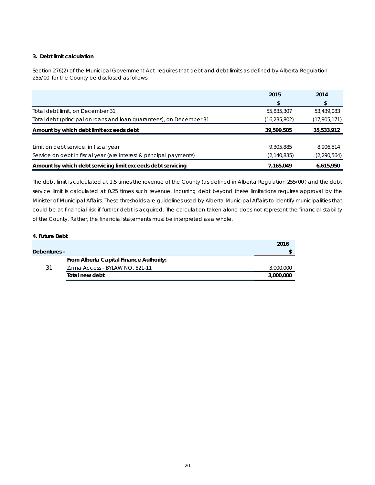### **3. Debt limit calculation**

Section 276(2) of the *Municipal Government Act* requires that debt and debt limits as defined by *Alberta Regulation 255/00* for the County be disclosed as follows:

|                                                                     | 2015           | 2014          |
|---------------------------------------------------------------------|----------------|---------------|
|                                                                     |                | \$            |
| Total debt limit, on December 31                                    | 55,835,307     | 53,439,083    |
| Total debt (principal on loans and loan guarantees), on December 31 | (16, 235, 802) | (17,905,171)  |
| Amount by which debt limit exceeds debt                             | 39.599.505     | 35,533,912    |
|                                                                     |                |               |
| Limit on debt service, in fiscal year                               | 9,305,885      | 8,906,514     |
| Service on debt in fiscal year (are interest & principal payments)  | (2, 140, 835)  | (2, 290, 564) |
| Amount by which debt servicing limit exceeds debt servicing         | 7,165,049      | 6,615,950     |

The debt limit is calculated at 1.5 times the revenue of the County (as defined in *Alberta Regulation 255/00* ) and the debt service limit is calculated at 0.25 times such revenue. Incurring debt beyond these limitations requires approval by the Minister of Municipal Affairs. These thresholds are guidelines used by Alberta Municipal Affairs to identify municipalities that could be at financial risk if further debt is acquired. The calculation taken alone does not represent the financial stability of the County. Rather, the financial statements must be interpreted as a whole.

### **4. Future Debt**

|              |                                         | 2016      |
|--------------|-----------------------------------------|-----------|
| Debentures - |                                         |           |
|              | From Alberta Capital Finance Authority: |           |
| 31           | Zama Access - BYLAW NO. 821-11          | 3,000,000 |
|              | Total new debt                          | 3,000,000 |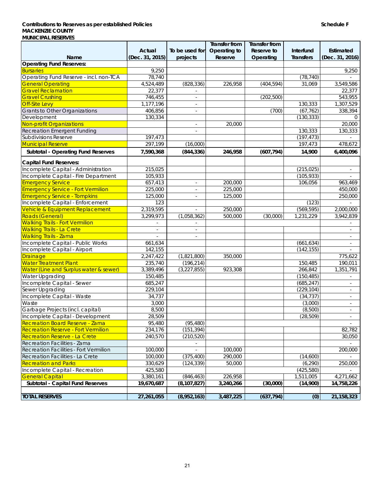### **Contributions to Reserves as per established Policies Schedule F MACKENZIE COUNTY MUNICIPAL RESERVES**

|                                            |                          |                          | Transfer from | Transfer from |            |                          |
|--------------------------------------------|--------------------------|--------------------------|---------------|---------------|------------|--------------------------|
|                                            | Actual                   | To be used for           | Operating to  | Reserve to    | Interfund  | Estimated                |
| Name                                       | (Dec. 31, 2015)          | projects                 | Reserve       | Operating     | Transfers  | (Dec. 31, 2016)          |
| <b>Operating Fund Reserves:</b>            |                          |                          |               |               |            |                          |
| <b>Bursaries</b>                           | 9,250                    |                          |               |               |            | 9,250                    |
| Operating Fund Reserve - incl. non-TCA     | 78,740                   |                          |               |               | (78, 740)  |                          |
| <b>General Operating</b>                   | 4,524,489                | (828, 336)               | 226,958       | (404, 594)    | 31,069     | 3,549,586                |
| <b>Gravel Reclamation</b>                  | 22,377                   |                          |               |               |            | 22,377                   |
| <b>Gravel Crushing</b>                     | 746,455                  | $\overline{\phantom{a}}$ |               | (202, 500)    |            | 543,955                  |
| <b>Off-Site Levy</b>                       | 1,177,196                |                          |               |               | 130,333    | 1,307,529                |
| <b>Grants to Other Organizations</b>       | 406,856                  | $\overline{\phantom{a}}$ |               | (700)         | (67, 762)  | 338,394                  |
| Development                                | 130,334                  |                          |               |               | (130, 333) | $\Omega$                 |
| <b>Non-profit Organizations</b>            |                          | $\overline{\phantom{a}}$ | 20,000        |               |            | 20,000                   |
| <b>Recreation Emergent Funding</b>         |                          | $\overline{\phantom{a}}$ |               |               | 130,333    | 130,333                  |
| <b>Subdivisions Reserve</b>                | 197,473                  |                          |               |               | (197, 473) |                          |
| <b>Municipal Reserve</b>                   | 297,199                  | (16,000)                 |               |               | 197,473    | 478,672                  |
| Subtotal - Operating Fund Reserves         | 7,590,368                | (844, 336)               | 246,958       | (607, 794)    | 14,900     | 6,400,096                |
| <b>Capital Fund Reserves:</b>              |                          |                          |               |               |            |                          |
| Incomplete Capital - Administration        | 215,025                  |                          |               |               | (215, 025) | $\blacksquare$           |
| Incomplete Capital - Fire Department       | 105,933                  |                          |               |               | (105, 933) |                          |
| <b>Emergency Service</b>                   | 657,413                  | $\overline{\phantom{a}}$ | 200,000       |               | 106,056    | 963,469                  |
| <b>Emergency Service - Fort Vermilion</b>  | 225,000                  |                          | 225,000       |               |            | 450,000                  |
| <b>Emergency Service - Tompkins</b>        | 125,000                  |                          | 125,000       |               |            | 250,000                  |
| Incomplete Capital - Enforcement           | 123                      |                          |               |               | (123)      |                          |
|                                            | 2,319,595                |                          | 250,000       |               | (569, 595) |                          |
| Vehicle & Equipment Replacement            |                          | $\blacksquare$           |               |               |            | 2,000,000                |
| Roads (General)                            | 3,299,973                | (1,058,362)              | 500,000       | (30,000)      | 1,231,229  | 3,942,839                |
| <b>Walking Trails - Fort Vermilion</b>     |                          |                          |               |               |            |                          |
| <b>Walking Trails - La Crete</b>           | $\overline{\phantom{a}}$ | $\overline{\phantom{a}}$ |               |               |            | $\overline{\phantom{a}}$ |
| <b>Walking Trails - Zama</b>               |                          |                          |               |               |            |                          |
| Incomplete Capital - Public Works          | 661,634                  |                          |               |               | (661, 634) | $\blacksquare$           |
| Incomplete Capital - Airport               | 142,155                  |                          |               |               | (142, 155) |                          |
| <b>Drainage</b>                            | 2,247,422                | (1,821,800)              | 350,000       |               |            | 775,622                  |
| <b>Water Treatment Plant</b>               | 235,740                  | (196, 214)               |               |               | 150,485    | 190,011                  |
| Water (Line and Surplus water & sewer)     | 3,389,496                | (3,227,855)              | 923,308       |               | 266,842    | $\overline{1,}351,791$   |
| Water Upgrading                            | 150,485                  |                          |               |               | (150, 485) |                          |
| Incomplete Capital - Sewer                 | 685,247                  |                          |               |               | (685, 247) | $\overline{\phantom{a}}$ |
| Sewer Upgrading                            | 229,104                  |                          |               |               | (229, 104) | $\overline{\phantom{a}}$ |
| Incomplete Capital - Waste                 | 34,737                   |                          |               |               | (34, 737)  | $\overline{\phantom{a}}$ |
| Waste                                      | 3,000                    |                          |               |               | (3,000)    | $\overline{\phantom{a}}$ |
| Garbage Projects (incl. capital)           | 8,500                    |                          |               |               | (8,500)    | $\overline{\phantom{a}}$ |
| Incomplete Capital - Development           | 28,509                   |                          |               |               | (28, 509)  |                          |
| <b>Recreation Board Reserve - Zama</b>     | 95.480                   | (95, 480)                |               |               |            | $\sim$                   |
| <b>Recreation Reserve - Fort Vermilion</b> | 234,176                  | (151, 394)               |               |               |            | 82,782                   |
| <b>Recreation Reserve - La Crete</b>       | 240,570                  | (210, 520)               |               |               |            | 30,050                   |
| Recreation Facilities - Zama               |                          |                          |               |               |            |                          |
| Recreation Facilities - Fort Vermilion     | 100,000                  |                          | 100,000       |               |            | 200,000                  |
| Recreation Facilities - La Crete           | 100,000                  | (375, 400)               | 290,000       |               | (14,600)   |                          |
| <b>Recreation and Parks</b>                | 330,629                  | (124, 339)               | 50,000        |               | (6, 290)   | 250,000                  |
| Incomplete Capital - Recreation            | 425,580                  |                          |               |               | (425, 580) |                          |
| <b>General Capital</b>                     | 3,380,161                | (846, 463)               | 226,958       |               | 1,511,005  | 4,271,662                |
| Subtotal - Capital Fund Reserves           | 19,670,687               | (8, 107, 827)            | 3,240,266     | (30,000)      | (14,900)   | 14,758,226               |
|                                            |                          |                          |               |               |            |                          |
| <b>TOTAL RESERVES</b>                      | 27,261,055               | (8,952,163)              | 3,487,225     | (637, 794)    | (0)        | 21,158,323               |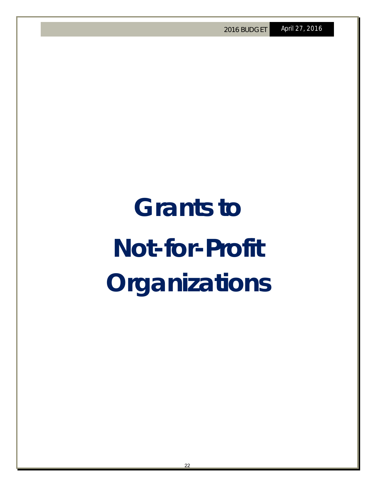## **Grants to Not-for-Profit Organizations**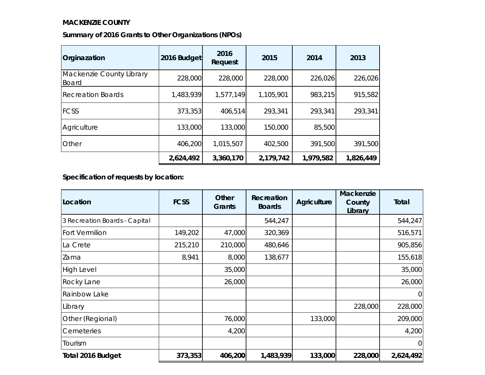### **MACKENZIE COUNTY**

|  | Summary of 2016 Grants to Other Organizations (NPOs) |  |
|--|------------------------------------------------------|--|
|  |                                                      |  |

| Orginazation                      | 2016 Budget | 2016<br>Request | 2015      | 2014      | 2013      |
|-----------------------------------|-------------|-----------------|-----------|-----------|-----------|
| Mackenzie County Library<br>Board | 228,000     | 228,000         | 228,000   | 226,026   | 226,026   |
| <b>Recreation Boards</b>          | 1,483,939   | 1,577,149       | 1,105,901 | 983,215   | 915,582   |
| <b>FCSS</b>                       | 373,353     | 406,514         | 293,341   | 293,341   | 293,341   |
| Agriculture                       | 133,000     | 133,000         | 150,000   | 85,500    |           |
| Other                             | 406,200     | 1,015,507       | 402,500   | 391,500   | 391,500   |
|                                   | 2,624,492   | 3,360,170       | 2,179,742 | 1,979,582 | 1,826,449 |

**Specification of requests by location:**

| Location                      | <b>FCSS</b> | Other<br>Grants | Recreation<br><b>Boards</b> | Agriculture | Mackenzie<br>County<br>Library | Total        |
|-------------------------------|-------------|-----------------|-----------------------------|-------------|--------------------------------|--------------|
| 3 Recreation Boards - Capital |             |                 | 544,247                     |             |                                | 544,247      |
| <b>Fort Vermilion</b>         | 149,202     | 47,000          | 320,369                     |             |                                | 516,571      |
| La Crete                      | 215,210     | 210,000         | 480,646                     |             |                                | 905,856      |
| Zama                          | 8,941       | 8,000           | 138,677                     |             |                                | 155,618      |
| High Level                    |             | 35,000          |                             |             |                                | 35,000       |
| <b>Rocky Lane</b>             |             | 26,000          |                             |             |                                | 26,000       |
| Rainbow Lake                  |             |                 |                             |             |                                | 0            |
| Library                       |             |                 |                             |             | 228,000                        | 228,000      |
| Other (Regional)              |             | 76,000          |                             | 133,000     |                                | 209,000      |
| Cemeteries                    |             | 4,200           |                             |             |                                | 4,200        |
| Tourism                       |             |                 |                             |             |                                | $\mathbf{0}$ |
| Total 2016 Budget             | 373,353     | 406,2003        | 1,483,939                   | 133,000     | 228,000                        | 2,624,492    |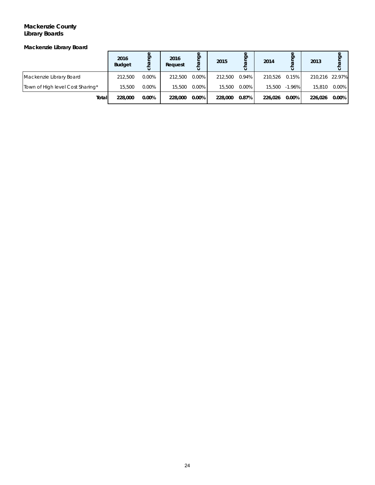### **Mackenzie County Library Boards**

*Mackenzie Library Board*

|                                  | 2016<br><b>Budget</b> | ₽        | 2016<br>Request | Φ<br>Ď<br><b>R</b> | 2015    | ත     | 2014    | ange      | 2013           | Φ<br>Ō<br>ar |
|----------------------------------|-----------------------|----------|-----------------|--------------------|---------|-------|---------|-----------|----------------|--------------|
| Mackenzie Library Board          | 212,500               | $0.00\%$ | 212,500         | $0.00\%$           | 212,500 | 0.94% | 210.526 | 0.15%     | 210.216 22.97% |              |
| Town of High level Cost Sharing* | 15.500                | 0.00%    | 15,500          | 0.00%              | 15,500  | 0.00% | 15,500  | $-1.96\%$ | 15.810         | $0.00\%$     |
| Total                            | 228,000               | 0.00%    | 228,000         | 0.00%              | 228,000 | 0.87% | 226.026 | $0.00\%$  | 226.026        | $0.00\%$     |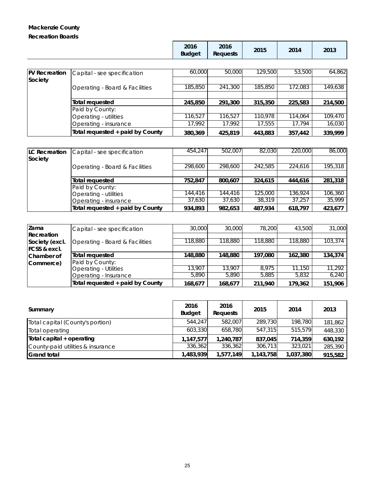### **Mackenzie County Recreation Boards**

| <b>FV Recreation</b> | Capital - see specification      | 60,000  | 50,000  | 129,500 | 53,500  | 64.862  |
|----------------------|----------------------------------|---------|---------|---------|---------|---------|
| Society              |                                  |         |         |         |         |         |
|                      | Operating - Board & Facilities   | 185,850 | 241,300 | 185,850 | 172,083 | 149,638 |
|                      |                                  |         |         |         |         |         |
|                      | Total requested                  | 245,850 | 291,300 | 315,350 | 225,583 | 214,500 |
|                      | Paid by County:                  |         |         |         |         |         |
|                      | Operating - utilities            | 116,527 | 116,527 | 110,978 | 114,064 | 109,470 |
|                      | Operating - insurance            | 17.992  | 17.992  | 17,555  | 17,794  | 16,030  |
|                      | Total requested + paid by County | 380,369 | 425,819 | 443,883 | 357,442 | 339.999 |

| <b>ILC Recreation</b> | Capital - see specification      | 454,247 | 502,007 | 82,030  | 220,000 | 86,000  |
|-----------------------|----------------------------------|---------|---------|---------|---------|---------|
| Society               |                                  |         |         |         |         |         |
|                       | Operating - Board & Facilities   | 298,600 | 298,600 | 242,585 | 224,616 | 195,318 |
|                       |                                  |         |         |         |         |         |
|                       | Total requested                  | 752.847 | 800.607 | 324,615 | 444.616 | 281,318 |
|                       | Paid by County:                  |         |         |         |         |         |
|                       | Operating - utilities            | 144,416 | 144,416 | 125,000 | 136,924 | 106,360 |
|                       | Operating - insurance            | 37.630  | 37.630  | 38,319  | 37.257  | 35,999  |
|                       | Total requested + paid by County | 934.893 | 982.653 | 487.934 | 618.797 | 423,677 |

| <b>Zama</b>             | Capital - see specification      | 30,000  | 30,000  | 78,200  | 43,500  | 31,000  |
|-------------------------|----------------------------------|---------|---------|---------|---------|---------|
| Recreation              |                                  |         |         |         |         |         |
| Society (excl.          | Operating - Board & Facilities   | 118,880 | 118,880 | 118,880 | 118,880 | 103,374 |
| <b>FCSS &amp; excl.</b> |                                  |         |         |         |         |         |
| Chamber of              | Total requested                  | 148,880 | 148,880 | 197,080 | 162,380 | 134,374 |
| Commerce)               | Paid by County:                  |         |         |         |         |         |
|                         | <b>Operating - Utilities</b>     | 13,907  | 13,907  | 8.975   | 11.150  | 11,292  |
|                         | Operating - Insurance            | 5,890   | 5,890   | 5,885   | 5,832   | 6,240   |
|                         | Total requested + paid by County | 168,677 | 168,677 | 211,940 | 179,362 | 151,906 |

| Summary                           | 2016<br><b>Budget</b> | 2016<br>Requests | 2015      | 2014      | 2013    |
|-----------------------------------|-----------------------|------------------|-----------|-----------|---------|
| Total capital (County's portion)  | 544.247               | 582.007          | 289,730   | 198.780   | 181,862 |
| Total operating                   | 603,330               | 658,780          | 547,315   | 515,579   | 448,330 |
| Total capital + operating         | 1,147,577             | 1,240,787        | 837.045   | 714,359   | 630,192 |
| County-paid utilities & insurance | 336,362               | 336,362          | 306,713   | 323,021   | 285,390 |
| <b>Grand total</b>                | 1,483,939             | 1,577,149        | 1,143,758 | 1,037,380 | 915,582 |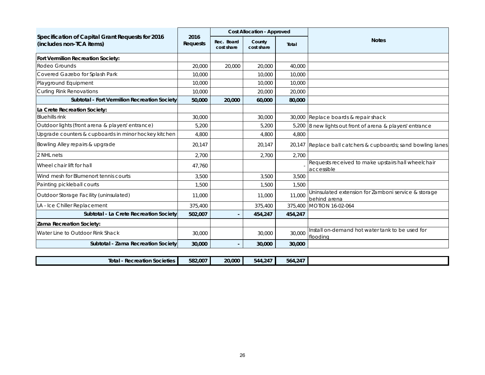|                                                                              |                  |                          | <b>Cost Allocation - Approved</b> |         |                                                                     |
|------------------------------------------------------------------------------|------------------|--------------------------|-----------------------------------|---------|---------------------------------------------------------------------|
| Specification of Capital Grant Requests for 2016<br>(includes non-TCA items) | 2016<br>Requests | Rec. Board<br>cost share | County<br>cost share              | Total   | <b>Notes</b>                                                        |
| Fort Vermilion Recreation Society:                                           |                  |                          |                                   |         |                                                                     |
| Rodeo Grounds                                                                | 20,000           | 20,000                   | 20,000                            | 40,000  |                                                                     |
| Covered Gazebo for Splash Park                                               | 10,000           |                          | 10,000                            | 10,000  |                                                                     |
| Playground Equipment                                                         | 10,000           |                          | 10,000                            | 10,000  |                                                                     |
| <b>Curling Rink Renovations</b>                                              | 10,000           |                          | 20,000                            | 20,000  |                                                                     |
| Subtotal - Fort Vermilion Recreation Society                                 | 50,000           | 20,000                   | 60,000                            | 80,000  |                                                                     |
| La Crete Recreation Society:                                                 |                  |                          |                                   |         |                                                                     |
| <b>Bluehills</b> rink                                                        | 30,000           |                          | 30,000                            |         | 30,000 Replace boards & repair shack                                |
| Outdoor lights (front arena & players' entrance)                             | 5,200            |                          | 5,200                             |         | 5,200 8 new lights out front of arena & players' entrance           |
| Upgrade counters & cupboards in minor hockey kitchen                         | 4,800            |                          | 4,800                             | 4,800   |                                                                     |
| Bowling Alley repairs & upgrade                                              | 20,147           |                          | 20,147                            |         | 20,147 Replace ball catchers & cupboards; sand bowling lanes        |
| 2 NHL nets                                                                   | 2.700            |                          | 2,700                             | 2.700   |                                                                     |
| Wheel chair lift for hall                                                    | 47,760           |                          |                                   |         | Requests received to make upstairs hall wheelchair<br>accessible    |
| Wind mesh for Blumenort tennis courts                                        | 3,500            |                          | 3,500                             | 3,500   |                                                                     |
| Painting pickleball courts                                                   | 1,500            |                          | 1,500                             | 1,500   |                                                                     |
| Outdoor Storage Facility (uninsulated)                                       | 11,000           |                          | 11,000                            | 11,000  | Uninsulated extension for Zamboni service & storage<br>behind arena |
| LA - Ice Chiller Replacement                                                 | 375,400          |                          | 375,400                           |         | 375,400 MOTION 16-02-064                                            |
| Subtotal - La Crete Recreation Society                                       | 502,007          |                          | 454,247                           | 454,247 |                                                                     |
| Zama Recreation Society:                                                     |                  |                          |                                   |         |                                                                     |
| Water Line to Outdoor Rink Shack                                             | 30,000           |                          | 30,000                            | 30,000  | Install on-demand hot water tank to be used for<br>floodina         |
| Subtotal - Zama Recreation Society                                           | 30,000           |                          | 30,000                            | 30,000  |                                                                     |
|                                                                              |                  |                          |                                   |         |                                                                     |
| <b>Total - Recreation Societies</b>                                          | 582,007          | 20,000                   | 544,247                           | 564,247 |                                                                     |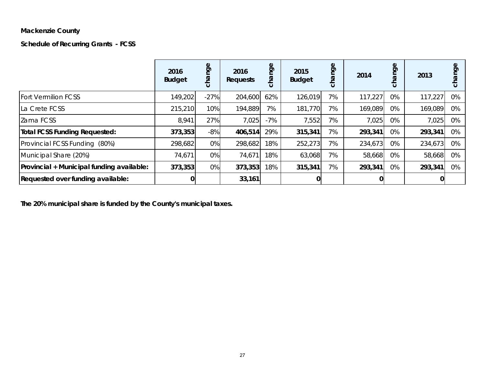### **Mackenzie County**

**Schedule of Recurring Grants - FCSS**

|                                           | 2016<br><b>Budget</b> | nge<br>cha | 2016<br>Requests | nge<br>cha | 2015<br><b>Budget</b> | nge<br>cha | 2014    | <b>ge</b><br>ω<br>$\circ$ | 2013    | Φ<br>ත<br>$\circ$ |
|-------------------------------------------|-----------------------|------------|------------------|------------|-----------------------|------------|---------|---------------------------|---------|-------------------|
| <b>Fort Vermilion FCSS</b>                | 149,202               | $-27%$     | 204,600          | 62%        | 126,019               | 7%         | 117,227 | 0%                        | 117,227 | 0%                |
| La Crete FCSS                             | 215,210               | 10%        | 194,889          | 7%         | 181,770               | 7%         | 169,089 | 0%                        | 169,089 | 0%                |
| Zama FCSS                                 | 8,941                 | 27%        | 7,025            | $-7%$      | 7,552                 | 7%         | 7,025   | 0%                        | 7,025   | 0%                |
| <b>Total FCSS Funding Requested:</b>      | 373,353               | $-8%$      | 406,514          | 29%        | 315,341               | 7%         | 293,341 | 0%                        | 293,341 | 0%                |
| Provincial FCSS Funding (80%)             | 298,682               | 0%         | 298,682          | 18%        | 252,273               | 7%         | 234,673 | 0%                        | 234,673 | 0%                |
| Municipal Share (20%)                     | 74,671                | $0\%$      | 74,671           | 18%        | 63,068                | 7%         | 58,668  | 0%                        | 58,668  | 0%                |
| Provincial + Municipal funding available: | 373,353               | $0\%$      | 373,353          | 18%        | 315,341               | 7%         | 293,341 | 0%                        | 293,341 | 0%                |
| Requested over funding available:         |                       |            | 33,161           |            |                       |            |         |                           |         |                   |

**The 20% municipal share is funded by the County's municipal taxes.**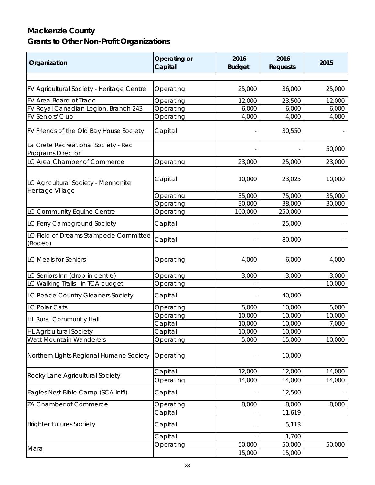### **Mackenzie County Grants to Other Non-Profit Organizations**

| Organization                                                     | Operating or<br>Capital | 2016<br><b>Budget</b> | 2016<br>Requests | 2015   |
|------------------------------------------------------------------|-------------------------|-----------------------|------------------|--------|
|                                                                  |                         |                       |                  |        |
| <b>FV Agricultural Society - Heritage Centre</b>                 | Operating               | 25,000                | 36,000           | 25,000 |
| FV Area Board of Trade                                           | Operating               | 12,000                | 23,500           | 12,000 |
| FV Royal Canadian Legion, Branch 243                             | Operating               | 6,000                 | 6,000            | 6,000  |
| <b>FV Seniors' Club</b>                                          | Operating               | 4,000                 | 4,000            | 4,000  |
| FV Friends of the Old Bay House Society                          | Capital                 |                       | 30,550           |        |
| La Crete Recreational Society - Rec.<br><b>Programs Director</b> |                         |                       |                  | 50,000 |
| LC Area Chamber of Commerce                                      | Operating               | 23,000                | 25,000           | 23,000 |
|                                                                  |                         |                       |                  |        |
| LC Agricultural Society - Mennonite                              | Capital                 | 10,000                | 23,025           | 10,000 |
| Heritage Village                                                 | Operating               | 35,000                | 75,000           | 35,000 |
|                                                                  | Operating               | 30,000                | 38,000           | 30,000 |
| LC Community Equine Centre                                       | Operating               | 100,000               | 250,000          |        |
| LC Ferry Campground Society                                      | Capital                 |                       | 25,000           |        |
|                                                                  |                         |                       |                  |        |
| LC Field of Dreams Stampede Committee<br>(Rodeo)                 | Capital                 |                       | 80,000           |        |
| <b>LC Meals for Seniors</b>                                      | Operating               | 4,000                 | 6,000            | 4,000  |
| LC Seniors Inn (drop-in centre)                                  | Operating               | 3,000                 | 3,000            | 3,000  |
| LC Walking Trails - in <b>TCA budget</b>                         | Operating               |                       |                  | 10,000 |
| LC Peace Country Gleaners Society                                | Capital                 |                       | 40,000           |        |
| <b>LC Polar Cats</b>                                             | Operating               | 5,000                 | 10,000           | 5,000  |
|                                                                  | Operating               | 10,000                | 10,000           | 10,000 |
| <b>HL Rural Community Hall</b>                                   | Capital                 | 10,000                | 10,000           | 7,000  |
| <b>HL Agricultural Society</b>                                   | Capital                 | 10,000                | 10,000           |        |
| Watt Mountain Wanderers                                          | Operating               | 5,000                 | 15,000           | 10,000 |
| Northern Lights Regional Humane Society                          | Operating               |                       | 10,000           |        |
|                                                                  | Capital                 | 12,000                | 12,000           | 14,000 |
| Rocky Lane Agricultural Society                                  | Operating               | 14,000                | 14,000           | 14,000 |
| Eagles Nest Bible Camp (SCA Int'l)                               | Capital                 |                       | 12,500           |        |
| ZA Chamber of Commerce                                           | Operating               | 8,000                 | 8,000            | 8,000  |
|                                                                  | Capital                 |                       | 11,619           |        |
| <b>Brighter Futures Society</b>                                  | Capital                 |                       | 5,113            |        |
|                                                                  | Capital                 |                       | 1,700            |        |
|                                                                  | Operating               | 50,000                | 50,000           | 50,000 |
| Mara                                                             |                         | 15,000                | 15,000           |        |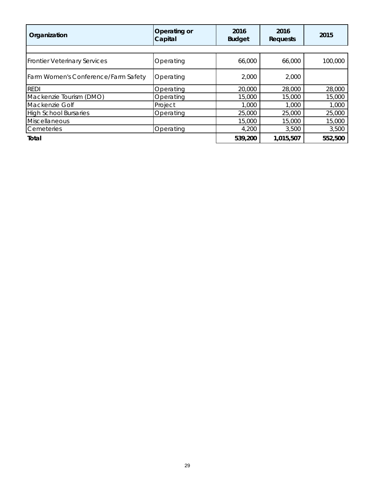| Organization                        | Operating or<br>Capital | 2016<br><b>Budget</b> | 2016<br>Requests | 2015    |
|-------------------------------------|-------------------------|-----------------------|------------------|---------|
|                                     |                         |                       |                  |         |
| <b>Frontier Veterinary Services</b> | Operating               | 66,000                | 66,000           | 100,000 |
| Farm Women's Conference/Farm Safety | Operating               | 2,000                 | 2,000            |         |
| <b>REDI</b>                         | Operating               | 20,000                | 28,000           | 28,000  |
| Mackenzie Tourism (DMO)             | Operating               | 15,000                | 15,000           | 15,000  |
| Mackenzie Golf                      | Project                 | 1,000                 | 1,000            | 1,000   |
| <b>High School Bursaries</b>        | Operating               | 25,000                | 25,000           | 25,000  |
| <b>Miscellaneous</b>                |                         | 15,000                | 15,000           | 15,000  |
| Cemeteries                          | Operating               | 4,200                 | 3,500            | 3,500   |
| Total                               |                         | 539,200               | 1,015,507        | 552,500 |